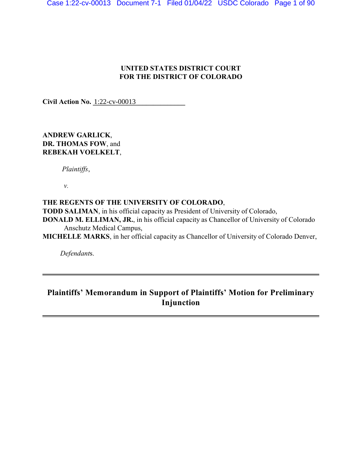# **UNITED STATES DISTRICT COURT FOR THE DISTRICT OF COLORADO**

**Civil Action No.** 1:22-cv-00013

# **ANDREW GARLICK**, **DR. THOMAS FOW**, and **REBEKAH VOELKELT**,

 *Plaintiffs*,

*v.*

# **THE REGENTS OF THE UNIVERSITY OF COLORADO**,

**TODD SALIMAN**, in his official capacity as President of University of Colorado,

- **DONALD M. ELLIMAN, JR.**, in his official capacity as Chancellor of University of Colorado Anschutz Medical Campus,
- **MICHELLE MARKS**, in her official capacity as Chancellor of University of Colorado Denver,

*Defendant*s.

# **Plaintiffs' Memorandum in Support of Plaintiffs' Motion for Preliminary Injunction**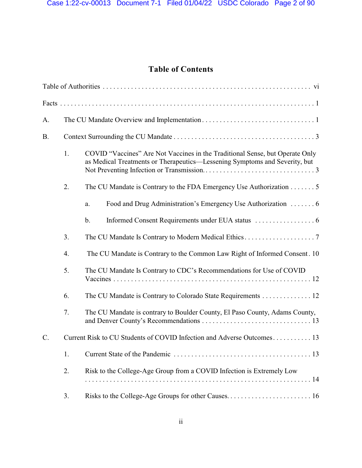# **Table of Contents**

| A.        |                                                                        |                                                                                                                                                            |  |  |  |  |
|-----------|------------------------------------------------------------------------|------------------------------------------------------------------------------------------------------------------------------------------------------------|--|--|--|--|
| <b>B.</b> |                                                                        |                                                                                                                                                            |  |  |  |  |
|           | 1.                                                                     | COVID "Vaccines" Are Not Vaccines in the Traditional Sense, but Operate Only<br>as Medical Treatments or Therapeutics—Lessening Symptoms and Severity, but |  |  |  |  |
|           | 2.                                                                     | The CU Mandate is Contrary to the FDA Emergency Use Authorization $\dots \dots 5$                                                                          |  |  |  |  |
|           |                                                                        | a.                                                                                                                                                         |  |  |  |  |
|           |                                                                        | $\mathbf b$ .                                                                                                                                              |  |  |  |  |
|           | 3.                                                                     |                                                                                                                                                            |  |  |  |  |
|           | 4.                                                                     | The CU Mandate is Contrary to the Common Law Right of Informed Consent. 10                                                                                 |  |  |  |  |
|           | 5.                                                                     | The CU Mandate Is Contrary to CDC's Recommendations for Use of COVID                                                                                       |  |  |  |  |
|           | 6.                                                                     | The CU Mandate is Contrary to Colorado State Requirements 12                                                                                               |  |  |  |  |
|           | 7.                                                                     | The CU Mandate is contrary to Boulder County, El Paso County, Adams County,                                                                                |  |  |  |  |
| $C$ .     | Current Risk to CU Students of COVID Infection and Adverse Outcomes 13 |                                                                                                                                                            |  |  |  |  |
|           | 1.                                                                     |                                                                                                                                                            |  |  |  |  |
|           | 2.                                                                     | Risk to the College-Age Group from a COVID Infection is Extremely Low                                                                                      |  |  |  |  |
|           | 3.                                                                     | Risks to the College-Age Groups for other Causes 16                                                                                                        |  |  |  |  |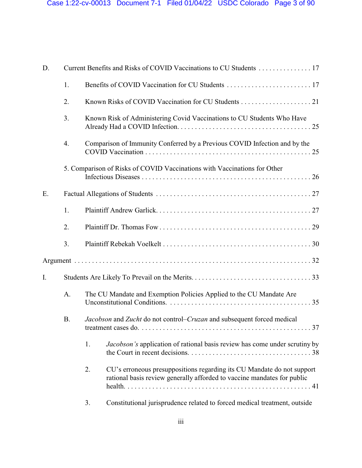| D. |           |                                                                           |                                                                                                                                                   |  |  |
|----|-----------|---------------------------------------------------------------------------|---------------------------------------------------------------------------------------------------------------------------------------------------|--|--|
| 1. |           |                                                                           |                                                                                                                                                   |  |  |
|    | 2.        |                                                                           |                                                                                                                                                   |  |  |
|    | 3.        |                                                                           | Known Risk of Administering Covid Vaccinations to CU Students Who Have                                                                            |  |  |
|    | 4.        | Comparison of Immunity Conferred by a Previous COVID Infection and by the |                                                                                                                                                   |  |  |
|    |           |                                                                           | 5. Comparison of Risks of COVID Vaccinations with Vaccinations for Other                                                                          |  |  |
| E. |           |                                                                           |                                                                                                                                                   |  |  |
|    | 1.        |                                                                           |                                                                                                                                                   |  |  |
|    | 2.        |                                                                           |                                                                                                                                                   |  |  |
|    | 3.        |                                                                           |                                                                                                                                                   |  |  |
|    |           |                                                                           |                                                                                                                                                   |  |  |
| I. |           |                                                                           |                                                                                                                                                   |  |  |
|    | A.        | The CU Mandate and Exemption Policies Applied to the CU Mandate Are       |                                                                                                                                                   |  |  |
|    | <b>B.</b> |                                                                           | Jacobson and Zucht do not control–Cruzan and subsequent forced medical<br>37                                                                      |  |  |
|    |           | 1.                                                                        | Jacobson's application of rational basis review has come under scrutiny by                                                                        |  |  |
|    |           | 2.                                                                        | CU's erroneous presuppositions regarding its CU Mandate do not support<br>rational basis review generally afforded to vaccine mandates for public |  |  |
|    |           | 3.                                                                        | Constitutional jurisprudence related to forced medical treatment, outside                                                                         |  |  |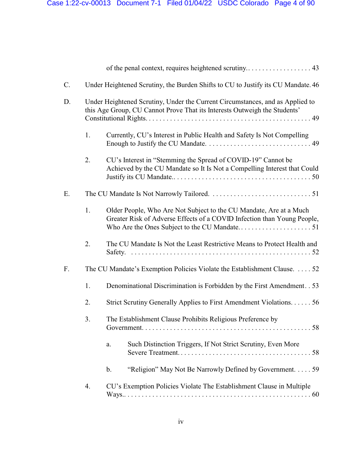| C. |                                                                                                                                                            | Under Heightened Scrutiny, the Burden Shifts to CU to Justify its CU Mandate. 46                                                              |  |  |
|----|------------------------------------------------------------------------------------------------------------------------------------------------------------|-----------------------------------------------------------------------------------------------------------------------------------------------|--|--|
| D. | Under Heightened Scrutiny, Under the Current Circumstances, and as Applied to<br>this Age Group, CU Cannot Prove That its Interests Outweigh the Students' |                                                                                                                                               |  |  |
|    | 1.                                                                                                                                                         | Currently, CU's Interest in Public Health and Safety Is Not Compelling                                                                        |  |  |
|    | 2.                                                                                                                                                         | CU's Interest in "Stemming the Spread of COVID-19" Cannot be<br>Achieved by the CU Mandate so It Is Not a Compelling Interest that Could      |  |  |
| Ε. |                                                                                                                                                            |                                                                                                                                               |  |  |
|    | 1.                                                                                                                                                         | Older People, Who Are Not Subject to the CU Mandate, Are at a Much<br>Greater Risk of Adverse Effects of a COVID Infection than Young People, |  |  |
|    | 2.                                                                                                                                                         | The CU Mandate Is Not the Least Restrictive Means to Protect Health and                                                                       |  |  |
| F. |                                                                                                                                                            | The CU Mandate's Exemption Policies Violate the Establishment Clause.  52                                                                     |  |  |
|    | 1.                                                                                                                                                         | Denominational Discrimination is Forbidden by the First Amendment. . 53                                                                       |  |  |
|    | 2.                                                                                                                                                         | Strict Scrutiny Generally Applies to First Amendment Violations. 56                                                                           |  |  |
|    | 3.                                                                                                                                                         | The Establishment Clause Prohibits Religious Preference by                                                                                    |  |  |
|    |                                                                                                                                                            | Such Distinction Triggers, If Not Strict Scrutiny, Even More<br>a.                                                                            |  |  |
|    |                                                                                                                                                            | "Religion" May Not Be Narrowly Defined by Government. 59<br>$\mathbf b$ .                                                                     |  |  |
|    | 4.                                                                                                                                                         | CU's Exemption Policies Violate The Establishment Clause in Multiple                                                                          |  |  |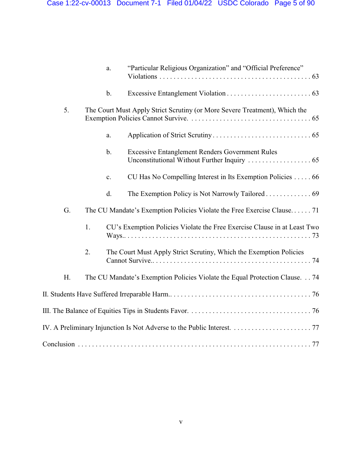|    |    | a.                                                                         | "Particular Religious Organization" and "Official Preference"               |  |  |
|----|----|----------------------------------------------------------------------------|-----------------------------------------------------------------------------|--|--|
|    |    | $b$ .                                                                      |                                                                             |  |  |
| 5. |    | The Court Must Apply Strict Scrutiny (or More Severe Treatment), Which the |                                                                             |  |  |
|    |    | a.                                                                         |                                                                             |  |  |
|    |    | $\mathbf b$ .                                                              | <b>Excessive Entanglement Renders Government Rules</b>                      |  |  |
|    |    | c.                                                                         | CU Has No Compelling Interest in Its Exemption Policies 66                  |  |  |
|    |    | d.                                                                         |                                                                             |  |  |
| G. |    |                                                                            | The CU Mandate's Exemption Policies Violate the Free Exercise Clause 71     |  |  |
|    | 1. |                                                                            | CU's Exemption Policies Violate the Free Exercise Clause in at Least Two    |  |  |
|    | 2. |                                                                            | The Court Must Apply Strict Scrutiny, Which the Exemption Policies          |  |  |
| H. |    |                                                                            | The CU Mandate's Exemption Policies Violate the Equal Protection Clause. 74 |  |  |
|    |    |                                                                            |                                                                             |  |  |
|    |    |                                                                            |                                                                             |  |  |
|    |    |                                                                            |                                                                             |  |  |
|    |    |                                                                            |                                                                             |  |  |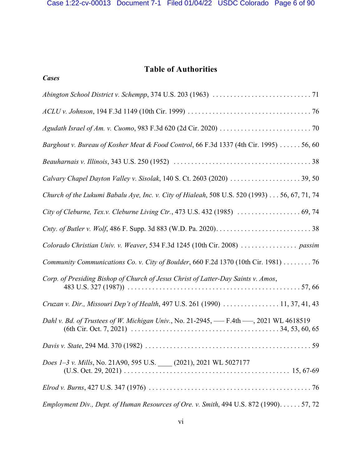# **Table of Authorities**

*Cases*

| Barghout v. Bureau of Kosher Meat & Food Control, 66 F.3d 1337 (4th Cir. 1995)  56, 60       |
|----------------------------------------------------------------------------------------------|
|                                                                                              |
|                                                                                              |
| Church of the Lukumi Babalu Aye, Inc. v. City of Hialeah, 508 U.S. 520 (1993) 56, 67, 71, 74 |
|                                                                                              |
|                                                                                              |
| Colorado Christian Univ. v. Weaver, 534 F.3d 1245 (10th Cir. 2008)  passim                   |
| Community Communications Co. v. City of Boulder, 660 F.2d 1370 (10th Cir. 1981) 76           |
| Corp. of Presiding Bishop of Church of Jesus Christ of Latter-Day Saints v. Amos,            |
| Cruzan v. Dir., Missouri Dep't of Health, 497 U.S. 261 (1990)  11, 37, 41, 43                |
| Dahl v. Bd. of Trustees of W. Michigan Univ., No. 21-2945, - F.4th - 2021 WL 4618519         |
|                                                                                              |
| Does 1-3 v. Mills, No. 21A90, 595 U.S. (2021), 2021 WL 5027177                               |
|                                                                                              |
| Employment Div., Dept. of Human Resources of Ore. v. Smith, 494 U.S. 872 (1990). 57, 72      |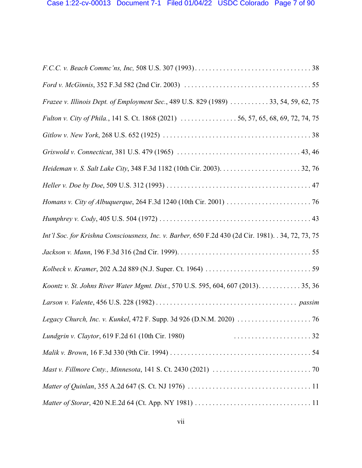| Frazee v. Illinois Dept. of Employment Sec., 489 U.S. 829 (1989)  33, 54, 59, 62, 75                |
|-----------------------------------------------------------------------------------------------------|
| Fulton v. City of Phila., 141 S. Ct. 1868 (2021) 56, 57, 65, 68, 69, 72, 74, 75                     |
|                                                                                                     |
|                                                                                                     |
|                                                                                                     |
|                                                                                                     |
|                                                                                                     |
|                                                                                                     |
| Int'l Soc. for Krishna Consciousness, Inc. v. Barber, 650 F.2d 430 (2d Cir. 1981). . 34, 72, 73, 75 |
|                                                                                                     |
|                                                                                                     |
| Koontz v. St. Johns River Water Mgmt. Dist., 570 U.S. 595, 604, 607 (2013). 35, 36                  |
|                                                                                                     |
|                                                                                                     |
| Lundgrin v. Claytor, 619 F.2d 61 (10th Cir. 1980)                                                   |
|                                                                                                     |
|                                                                                                     |
|                                                                                                     |
|                                                                                                     |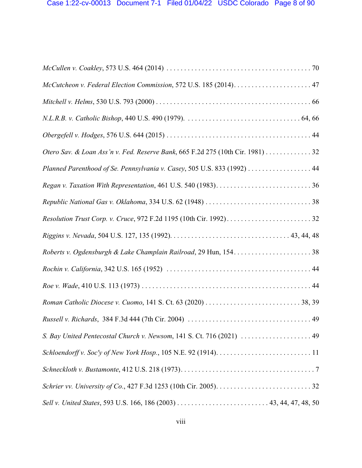| Otero Sav. & Loan Ass'n v. Fed. Reserve Bank, 665 F.2d 275 (10th Cir. 1981) 32 |
|--------------------------------------------------------------------------------|
| Planned Parenthood of Se. Pennsylvania v. Casey, 505 U.S. 833 (1992) 44        |
|                                                                                |
|                                                                                |
|                                                                                |
|                                                                                |
|                                                                                |
|                                                                                |
|                                                                                |
|                                                                                |
|                                                                                |
| S. Bay United Pentecostal Church v. Newsom, 141 S. Ct. 716 (2021)  49          |
|                                                                                |
|                                                                                |
|                                                                                |
|                                                                                |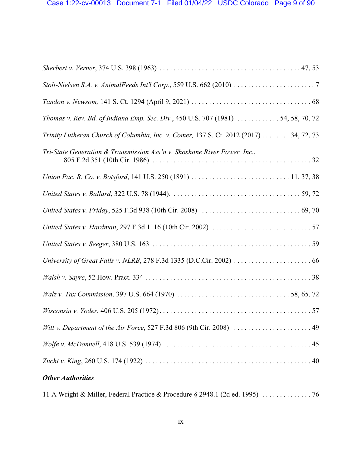| Thomas v. Rev. Bd. of Indiana Emp. Sec. Div., 450 U.S. 707 (1981)  54, 58, 70, 72     |  |  |  |  |
|---------------------------------------------------------------------------------------|--|--|--|--|
| Trinity Lutheran Church of Columbia, Inc. v. Comer, 137 S. Ct. 2012 (2017) 34, 72, 73 |  |  |  |  |
| Tri-State Generation & Transmission Ass'n v. Shoshone River Power, Inc.,              |  |  |  |  |
|                                                                                       |  |  |  |  |
|                                                                                       |  |  |  |  |
|                                                                                       |  |  |  |  |
|                                                                                       |  |  |  |  |
|                                                                                       |  |  |  |  |
|                                                                                       |  |  |  |  |
|                                                                                       |  |  |  |  |
|                                                                                       |  |  |  |  |
|                                                                                       |  |  |  |  |
| Witt v. Department of the Air Force, 527 F.3d 806 (9th Cir. 2008)  49                 |  |  |  |  |
|                                                                                       |  |  |  |  |
|                                                                                       |  |  |  |  |
| <b>Other Authorities</b>                                                              |  |  |  |  |

11 A Wright & Miller, Federal Practice & Procedure § 2948.1 (2d ed. 1995) . . . . . . . . . . . . . . 76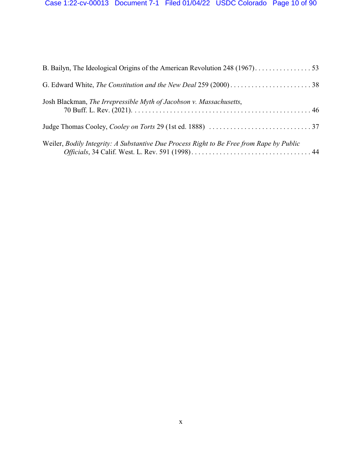| Josh Blackman, The Irrepressible Myth of Jacobson v. Massachusetts,                      |  |
|------------------------------------------------------------------------------------------|--|
|                                                                                          |  |
| Weiler, Bodily Integrity: A Substantive Due Process Right to Be Free from Rape by Public |  |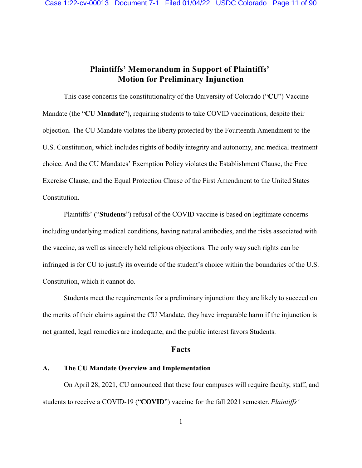# **Plaintiffs' Memorandum in Support of Plaintiffs' Motion for Preliminary Injunction**

This case concerns the constitutionality of the University of Colorado ("**CU**") Vaccine Mandate (the "**CU Mandate**"), requiring students to take COVID vaccinations, despite their objection. The CU Mandate violates the liberty protected by the Fourteenth Amendment to the U.S. Constitution, which includes rights of bodily integrity and autonomy, and medical treatment choice. And the CU Mandates' Exemption Policy violates the Establishment Clause, the Free Exercise Clause, and the Equal Protection Clause of the First Amendment to the United States Constitution.

Plaintiffs' ("**Students**") refusal of the COVID vaccine is based on legitimate concerns including underlying medical conditions, having natural antibodies, and the risks associated with the vaccine, as well as sincerely held religious objections. The only way such rights can be infringed is for CU to justify its override of the student's choice within the boundaries of the U.S. Constitution, which it cannot do.

Students meet the requirements for a preliminary injunction: they are likely to succeed on the merits of their claims against the CU Mandate, they have irreparable harm if the injunction is not granted, legal remedies are inadequate, and the public interest favors Students.

### **Facts**

#### **A. The CU Mandate Overview and Implementation**

On April 28, 2021, CU announced that these four campuses will require faculty, staff, and students to receive a COVID-19 ("**COVID**") vaccine for the fall 2021 semester. *Plaintiffs'*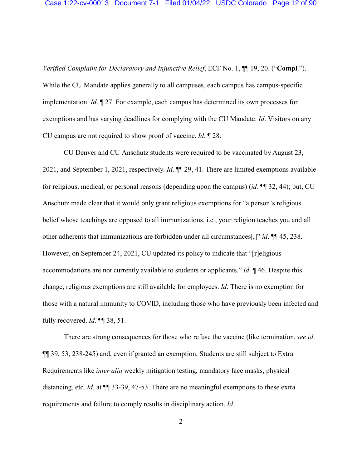*Verified Complaint for Declaratory and Injunctive Relief*, ECF No. 1, ¶¶ 19, 20. ("**Compl**."). While the CU Mandate applies generally to all campuses, each campus has campus-specific implementation. *Id*. ¶ 27. For example, each campus has determined its own processes for exemptions and has varying deadlines for complying with the CU Mandate. *Id*. Visitors on any CU campus are not required to show proof of vaccine. *Id*. ¶ 28.

CU Denver and CU Anschutz students were required to be vaccinated by August 23, 2021, and September 1, 2021, respectively. *Id*. ¶¶ 29, 41. There are limited exemptions available for religious, medical, or personal reasons (depending upon the campus) (*id.* ¶¶ 32, 44); but, CU Anschutz made clear that it would only grant religious exemptions for "a person's religious belief whose teachings are opposed to all immunizations, i.e., your religion teaches you and all other adherents that immunizations are forbidden under all circumstances[,]" *id*. ¶¶ 45, 238. However, on September 24, 2021, CU updated its policy to indicate that "[r]eligious accommodations are not currently available to students or applicants." *Id*. ¶ 46. Despite this change, religious exemptions are still available for employees. *Id*. There is no exemption for those with a natural immunity to COVID, including those who have previously been infected and fully recovered. *Id*. ¶¶ 38, 51.

There are strong consequences for those who refuse the vaccine (like termination, *see id*. ¶¶ 39, 53, 238-245) and, even if granted an exemption, Students are still subject to Extra Requirements like *inter alia* weekly mitigation testing, mandatory face masks, physical distancing, etc. *Id.* at  $\P$  33-39, 47-53. There are no meaningful exemptions to these extra requirements and failure to comply results in disciplinary action. *Id*.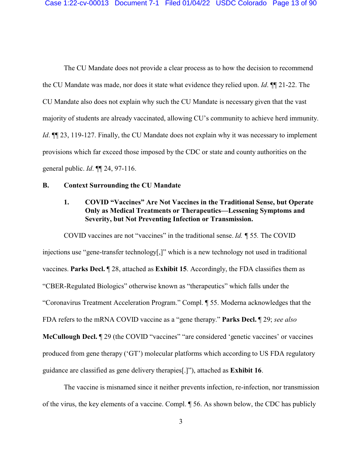The CU Mandate does not provide a clear process as to how the decision to recommend the CU Mandate was made, nor does it state what evidence they relied upon. *Id*. ¶¶ 21-22. The CU Mandate also does not explain why such the CU Mandate is necessary given that the vast majority of students are already vaccinated, allowing CU's community to achieve herd immunity. *Id*.  $\P$ [23, 119-127. Finally, the CU Mandate does not explain why it was necessary to implement provisions which far exceed those imposed by the CDC or state and county authorities on the general public. *Id*. ¶¶ 24, 97-116.

#### **B. Context Surrounding the CU Mandate**

# **1. COVID "Vaccines" Are Not Vaccines in the Traditional Sense, but Operate Only as Medical Treatments or Therapeutics—Lessening Symptoms and Severity, but Not Preventing Infection or Transmission.**

COVID vaccines are not "vaccines" in the traditional sense. *Id. ¶* 55*.* The COVID injections use "gene-transfer technology[,]" which is a new technology not used in traditional vaccines. **Parks Decl.** ¶ 28, attached as **Exhibit 15**. Accordingly, the FDA classifies them as "CBER-Regulated Biologics" otherwise known as "therapeutics" which falls under the "Coronavirus Treatment Acceleration Program." Compl. ¶ 55. Moderna acknowledges that the FDA refers to the mRNA COVID vaccine as a "gene therapy." **Parks Decl.** ¶ 29; *see also* **McCullough Decl.**  $\mathbb{I}$  29 (the COVID "vaccines" "are considered 'genetic vaccines' or vaccines produced from gene therapy ('GT') molecular platforms which according to US FDA regulatory guidance are classified as gene delivery therapies[.]"), attached as **Exhibit 16**.

The vaccine is misnamed since it neither prevents infection, re-infection, nor transmission of the virus, the key elements of a vaccine. Compl. ¶ 56. As shown below, the CDC has publicly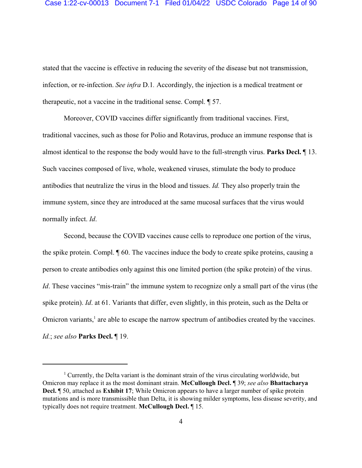#### Case 1:22-cv-00013 Document 7-1 Filed 01/04/22 USDC Colorado Page 14 of 90

stated that the vaccine is effective in reducing the severity of the disease but not transmission, infection, or re-infection. *See infra* D.1*.* Accordingly, the injection is a medical treatment or therapeutic, not a vaccine in the traditional sense. Compl. ¶ 57.

Moreover, COVID vaccines differ significantly from traditional vaccines. First, traditional vaccines, such as those for Polio and Rotavirus, produce an immune response that is almost identical to the response the body would have to the full-strength virus. **Parks Decl.** ¶ 13. Such vaccines composed of live, whole, weakened viruses, stimulate the body to produce antibodies that neutralize the virus in the blood and tissues. *Id.* They also properly train the immune system, since they are introduced at the same mucosal surfaces that the virus would normally infect. *Id*.

Second, because the COVID vaccines cause cells to reproduce one portion of the virus, the spike protein. Compl. ¶ 60. The vaccines induce the body to create spike proteins, causing a person to create antibodies only against this one limited portion (the spike protein) of the virus. *Id*. These vaccines "mis-train" the immune system to recognize only a small part of the virus (the spike protein). *Id*. at 61. Variants that differ, even slightly, in this protein, such as the Delta or Omicron variants,<sup>1</sup> are able to escape the narrow spectrum of antibodies created by the vaccines. *Id.*; *see also* **Parks Decl.** ¶ 19.

<sup>&</sup>lt;sup>1</sup> Currently, the Delta variant is the dominant strain of the virus circulating worldwide, but Omicron may replace it as the most dominant strain. **McCullough Decl.** ¶ 39; *see also* **Bhattacharya Decl.** ¶ 50, attached as **Exhibit 17**; While Omicron appears to have a larger number of spike protein mutations and is more transmissible than Delta, it is showing milder symptoms, less disease severity, and typically does not require treatment. **McCullough Decl.** ¶ 15.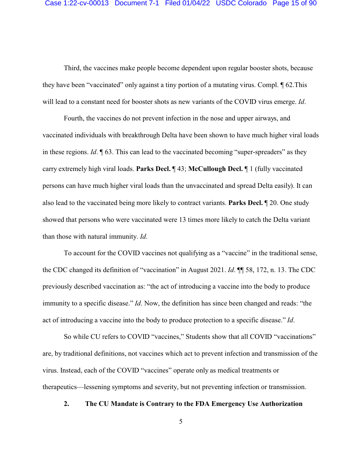Third, the vaccines make people become dependent upon regular booster shots, because they have been "vaccinated" only against a tiny portion of a mutating virus. Compl. ¶ 62.This will lead to a constant need for booster shots as new variants of the COVID virus emerge. *Id*.

Fourth, the vaccines do not prevent infection in the nose and upper airways, and vaccinated individuals with breakthrough Delta have been shown to have much higher viral loads in these regions. *Id*. ¶ 63. This can lead to the vaccinated becoming "super-spreaders" as they carry extremely high viral loads. **Parks Decl.** ¶ 43; **McCullough Decl.** ¶ 1 (fully vaccinated persons can have much higher viral loads than the unvaccinated and spread Delta easily). It can also lead to the vaccinated being more likely to contract variants. **Parks Decl.** ¶ 20. One study showed that persons who were vaccinated were 13 times more likely to catch the Delta variant than those with natural immunity. *Id*.

To account for the COVID vaccines not qualifying as a "vaccine" in the traditional sense, the CDC changed its definition of "vaccination" in August 2021. *Id*. ¶¶ 58, 172, n. 13. The CDC previously described vaccination as: "the act of introducing a vaccine into the body to produce immunity to a specific disease." *Id*. Now, the definition has since been changed and reads: "the act of introducing a vaccine into the body to produce protection to a specific disease." *Id*.

So while CU refers to COVID "vaccines," Students show that all COVID "vaccinations" are, by traditional definitions, not vaccines which act to prevent infection and transmission of the virus. Instead, each of the COVID "vaccines" operate only as medical treatments or therapeutics—lessening symptoms and severity, but not preventing infection or transmission.

# **2. The CU Mandate is Contrary to the FDA Emergency Use Authorization**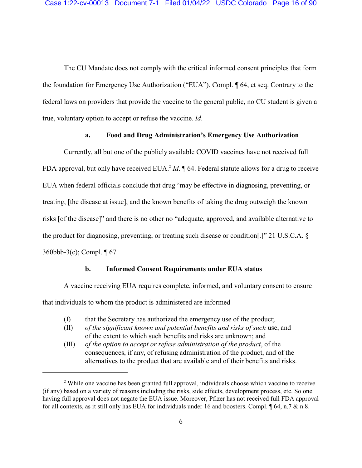The CU Mandate does not comply with the critical informed consent principles that form the foundation for Emergency Use Authorization ("EUA"). Compl. ¶ 64, et seq. Contrary to the federal laws on providers that provide the vaccine to the general public, no CU student is given a true, voluntary option to accept or refuse the vaccine. *Id*.

#### **a. Food and Drug Administration's Emergency Use Authorization**

Currently, all but one of the publicly available COVID vaccines have not received full FDA approval, but only have received EUA.<sup>2</sup> *Id*. **[64. Federal statute allows for a drug to receive** EUA when federal officials conclude that drug "may be effective in diagnosing, preventing, or treating, [the disease at issue], and the known benefits of taking the drug outweigh the known risks [of the disease]" and there is no other no "adequate, approved, and available alternative to the product for diagnosing, preventing, or treating such disease or condition[.]" 21 U.S.C.A. § 360bbb-3(c); Compl. ¶ 67.

#### **b. Informed Consent Requirements under EUA status**

A vaccine receiving EUA requires complete, informed, and voluntary consent to ensure that individuals to whom the product is administered are informed

- (I) that the Secretary has authorized the emergency use of the product;
- (II) *of the significant known and potential benefits and risks of such* use, and of the extent to which such benefits and risks are unknown; and
- (III) *of the option to accept or refuse administration of the product*, of the consequences, if any, of refusing administration of the product, and of the alternatives to the product that are available and of their benefits and risks.

<sup>&</sup>lt;sup>2</sup> While one vaccine has been granted full approval, individuals choose which vaccine to receive (if any) based on a variety of reasons including the risks, side effects, development process, etc. So one having full approval does not negate the EUA issue. Moreover, Pfizer has not received full FDA approval for all contexts, as it still only has EUA for individuals under 16 and boosters. Compl. ¶ 64, n.7 & n.8.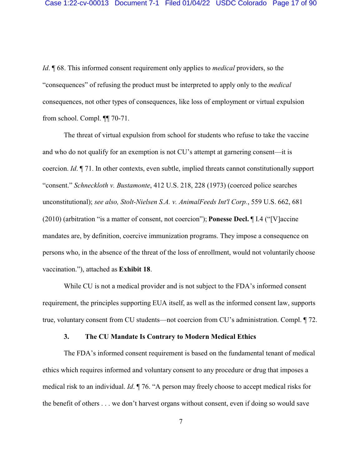*Id*. ¶ 68. This informed consent requirement only applies to *medical* providers, so the "consequences" of refusing the product must be interpreted to apply only to the *medical* consequences, not other types of consequences, like loss of employment or virtual expulsion from school. Compl. ¶¶ 70-71.

The threat of virtual expulsion from school for students who refuse to take the vaccine and who do not qualify for an exemption is not CU's attempt at garnering consent—it is coercion. *Id*. ¶ 71. In other contexts, even subtle, implied threats cannot constitutionally support "consent." *Schneckloth v. Bustamonte*, 412 U.S. 218, 228 (1973) (coerced police searches unconstitutional); *see also, Stolt-Nielsen S.A. v. AnimalFeeds Int'l Corp.*, 559 U.S. 662, 681 (2010) (arbitration "is a matter of consent, not coercion"); **Ponesse Decl.** ¶ I.4 ("[V]accine mandates are, by definition, coercive immunization programs. They impose a consequence on persons who, in the absence of the threat of the loss of enrollment, would not voluntarily choose vaccination."), attached as **Exhibit 18**.

While CU is not a medical provider and is not subject to the FDA's informed consent requirement, the principles supporting EUA itself, as well as the informed consent law, supports true, voluntary consent from CU students—not coercion from CU's administration. Compl. ¶ 72.

#### **3. The CU Mandate Is Contrary to Modern Medical Ethics**

The FDA's informed consent requirement is based on the fundamental tenant of medical ethics which requires informed and voluntary consent to any procedure or drug that imposes a medical risk to an individual. *Id*. ¶ 76. "A person may freely choose to accept medical risks for the benefit of others . . . we don't harvest organs without consent, even if doing so would save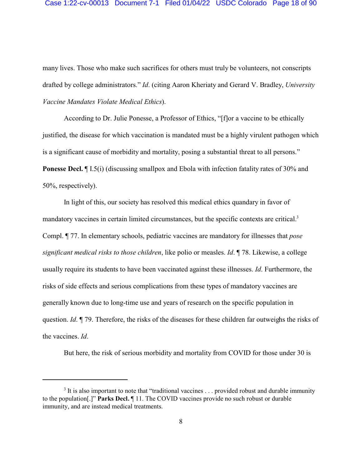#### Case 1:22-cv-00013 Document 7-1 Filed 01/04/22 USDC Colorado Page 18 of 90

many lives. Those who make such sacrifices for others must truly be volunteers, not conscripts drafted by college administrators." *Id*. (citing Aaron Kheriaty and Gerard V. Bradley, *University Vaccine Mandates Violate Medical Ethics*).

According to Dr. Julie Ponesse, a Professor of Ethics, "[f]or a vaccine to be ethically justified, the disease for which vaccination is mandated must be a highly virulent pathogen which is a significant cause of morbidity and mortality, posing a substantial threat to all persons." **Ponesse Decl.** If I.5(i) (discussing smallpox and Ebola with infection fatality rates of 30% and 50%, respectively).

In light of this, our society has resolved this medical ethics quandary in favor of mandatory vaccines in certain limited circumstances, but the specific contexts are critical.<sup>3</sup> Compl. ¶ 77. In elementary schools, pediatric vaccines are mandatory for illnesses that *pose significant medical risks to those children*, like polio or measles. *Id*. ¶ 78. Likewise, a college usually require its students to have been vaccinated against these illnesses. *Id*. Furthermore, the risks of side effects and serious complications from these types of mandatory vaccines are generally known due to long-time use and years of research on the specific population in question. *Id*. ¶ 79. Therefore, the risks of the diseases for these children far outweighs the risks of the vaccines. *Id*.

But here, the risk of serious morbidity and mortality from COVID for those under 30 is

 $3$  It is also important to note that "traditional vaccines . . . provided robust and durable immunity to the population[.]" **Parks Decl.** ¶ 11. The COVID vaccines provide no such robust or durable immunity, and are instead medical treatments.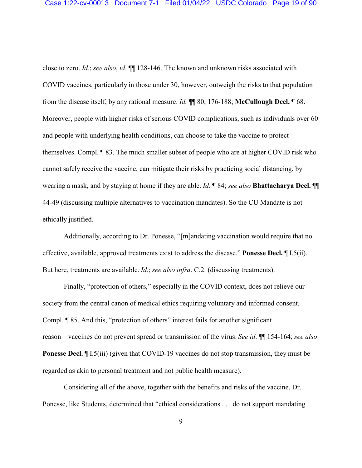close to zero. *Id.*; *see also*, *id*. ¶¶ 128-146. The known and unknown risks associated with COVID vaccines, particularly in those under 30, however, outweigh the risks to that population from the disease itself, by any rational measure. *Id.* ¶¶ 80, 176-188; **McCullough Decl.** ¶ 68. Moreover, people with higher risks of serious COVID complications, such as individuals over 60 and people with underlying health conditions, can choose to take the vaccine to protect themselves. Compl. ¶ 83. The much smaller subset of people who are at higher COVID risk who cannot safely receive the vaccine, can mitigate their risks by practicing social distancing, by wearing a mask, and by staying at home if they are able. *Id*. ¶ 84; *see also* **Bhattacharya Decl.** ¶¶ 44-49 (discussing multiple alternatives to vaccination mandates). So the CU Mandate is not ethically justified.

Additionally, according to Dr. Ponesse, "[m]andating vaccination would require that no effective, available, approved treatments exist to address the disease." **Ponesse Decl.** ¶ I.5(ii). But here, treatments are available. *Id*.; *see also infra*. C.2. (discussing treatments).

Finally, "protection of others," especially in the COVID context, does not relieve our society from the central canon of medical ethics requiring voluntary and informed consent. Compl. ¶ 85. And this, "protection of others" interest fails for another significant reason—vaccines do not prevent spread or transmission of the virus. *See id*. ¶¶ 154-164; *see also* **Ponesse Decl.** *[[*] I.5(iii) (given that COVID-19 vaccines do not stop transmission, they must be regarded as akin to personal treatment and not public health measure).

Considering all of the above, together with the benefits and risks of the vaccine, Dr. Ponesse, like Students, determined that "ethical considerations . . . do not support mandating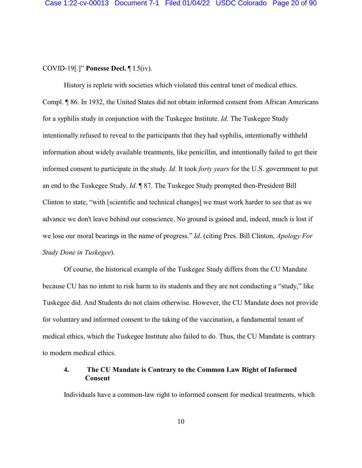### COVID-19[.]" **Ponesse Decl.** ¶ I.5(iv).

History is replete with societies which violated this central tenet of medical ethics. Compl. ¶ 86. In 1932, the United States did not obtain informed consent from African Americans for a syphilis study in conjunction with the Tuskegee Institute. *Id*. The Tuskegee Study intentionally refused to reveal to the participants that they had syphilis, intentionally withheld information about widely available treatments, like penicillin, and intentionally failed to get their informed consent to participate in the study. *Id*. It took *forty years* for the U.S. government to put an end to the Tuskegee Study. *Id*. ¶ 87. The Tuskegee Study prompted then-President Bill Clinton to state, "with [scientific and technical changes] we must work harder to see that as we advance we don't leave behind our conscience. No ground is gained and, indeed, much is lost if we lose our moral bearings in the name of progress." *Id*. (citing Pres. Bill Clinton, *Apology For Study Done in Tuskegee*).

Of course, the historical example of the Tuskegee Study differs from the CU Mandate because CU has no intent to risk harm to its students and they are not conducting a "study," like Tuskegee did. And Students do not claim otherwise. However, the CU Mandate does not provide for voluntary and informed consent to the taking of the vaccination, a fundamental tenant of medical ethics, which the Tuskegee Institute also failed to do. Thus, the CU Mandate is contrary to modern medical ethics.

# **4. The CU Mandate is Contrary to the Common Law Right of Informed Consent**

Individuals have a common-law right to informed consent for medical treatments, which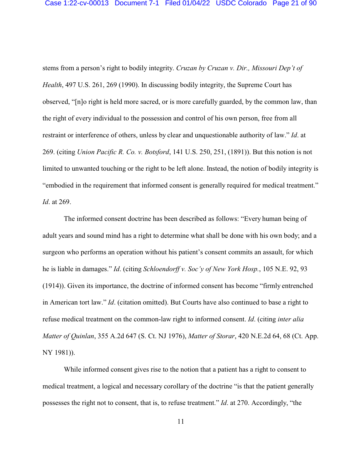stems from a person's right to bodily integrity. *Cruzan by Cruzan v. Dir., Missouri Dep't of Health*, 497 U.S. 261, 269 (1990). In discussing bodily integrity, the Supreme Court has observed, "[n]o right is held more sacred, or is more carefully guarded, by the common law, than the right of every individual to the possession and control of his own person, free from all restraint or interference of others, unless by clear and unquestionable authority of law." *Id*. at 269. (citing *Union Pacific R. Co. v. Botsford*, 141 U.S. 250, 251, (1891)). But this notion is not limited to unwanted touching or the right to be left alone. Instead, the notion of bodily integrity is "embodied in the requirement that informed consent is generally required for medical treatment." *Id*. at 269.

The informed consent doctrine has been described as follows: "Every human being of adult years and sound mind has a right to determine what shall be done with his own body; and a surgeon who performs an operation without his patient's consent commits an assault, for which he is liable in damages." *Id*. (citing *Schloendorff v. Soc'y of New York Hosp.*, 105 N.E. 92, 93 (1914)). Given its importance, the doctrine of informed consent has become "firmly entrenched in American tort law." *Id*. (citation omitted). But Courts have also continued to base a right to refuse medical treatment on the common-law right to informed consent. *Id*. (citing *inter alia Matter of Quinlan*, 355 A.2d 647 (S. Ct. NJ 1976), *Matter of Storar*, 420 N.E.2d 64, 68 (Ct. App. NY 1981)).

While informed consent gives rise to the notion that a patient has a right to consent to medical treatment, a logical and necessary corollary of the doctrine "is that the patient generally possesses the right not to consent, that is, to refuse treatment." *Id*. at 270. Accordingly, "the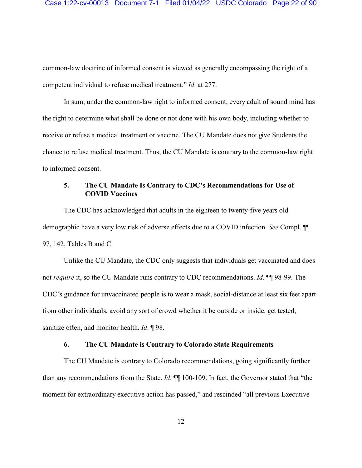common-law doctrine of informed consent is viewed as generally encompassing the right of a competent individual to refuse medical treatment." *Id*. at 277.

In sum, under the common-law right to informed consent, every adult of sound mind has the right to determine what shall be done or not done with his own body, including whether to receive or refuse a medical treatment or vaccine. The CU Mandate does not give Students the chance to refuse medical treatment. Thus, the CU Mandate is contrary to the common-law right to informed consent.

# **5. The CU Mandate Is Contrary to CDC's Recommendations for Use of COVID Vaccines**

The CDC has acknowledged that adults in the eighteen to twenty-five years old demographic have a very low risk of adverse effects due to a COVID infection. *See* Compl. ¶¶ 97, 142, Tables B and C.

Unlike the CU Mandate, the CDC only suggests that individuals get vaccinated and does not *require* it, so the CU Mandate runs contrary to CDC recommendations. *Id*. ¶¶ 98-99. The CDC's guidance for unvaccinated people is to wear a mask, social-distance at least six feet apart from other individuals, avoid any sort of crowd whether it be outside or inside, get tested, sanitize often, and monitor health. *Id*. ¶ 98.

#### **6. The CU Mandate is Contrary to Colorado State Requirements**

The CU Mandate is contrary to Colorado recommendations, going significantly further than any recommendations from the State. *Id*. ¶¶ 100-109. In fact, the Governor stated that "the moment for extraordinary executive action has passed," and rescinded "all previous Executive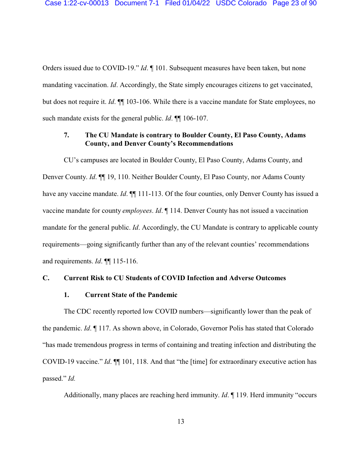Orders issued due to COVID-19." *Id*. ¶ 101. Subsequent measures have been taken, but none mandating vaccination. *Id*. Accordingly, the State simply encourages citizens to get vaccinated, but does not require it. *Id*. ¶¶ 103-106. While there is a vaccine mandate for State employees, no such mandate exists for the general public. *Id*. ¶¶ 106-107.

# **7. The CU Mandate is contrary to Boulder County, El Paso County, Adams County, and Denver County's Recommendations**

CU's campuses are located in Boulder County, El Paso County, Adams County, and Denver County. *Id*. ¶¶ 19, 110. Neither Boulder County, El Paso County, nor Adams County have any vaccine mandate. *Id*.  $\P$  111-113. Of the four counties, only Denver County has issued a vaccine mandate for county *employees*. *Id*. ¶ 114. Denver County has not issued a vaccination mandate for the general public. *Id*. Accordingly, the CU Mandate is contrary to applicable county requirements—going significantly further than any of the relevant counties' recommendations and requirements. *Id*. ¶¶ 115-116.

#### **C. Current Risk to CU Students of COVID Infection and Adverse Outcomes**

#### **1. Current State of the Pandemic**

The CDC recently reported low COVID numbers—significantly lower than the peak of the pandemic. *Id*. ¶ 117. As shown above, in Colorado, Governor Polis has stated that Colorado "has made tremendous progress in terms of containing and treating infection and distributing the COVID-19 vaccine." *Id*. ¶¶ 101, 118. And that "the [time] for extraordinary executive action has passed." *Id.*

Additionally, many places are reaching herd immunity. *Id*. ¶ 119. Herd immunity "occurs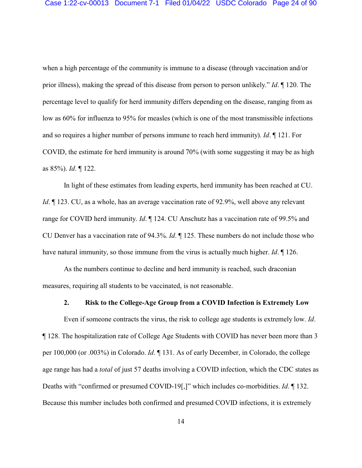when a high percentage of the community is immune to a disease (through vaccination and/or prior illness), making the spread of this disease from person to person unlikely." *Id*. ¶ 120. The percentage level to qualify for herd immunity differs depending on the disease, ranging from as low as 60% for influenza to 95% for measles (which is one of the most transmissible infections and so requires a higher number of persons immune to reach herd immunity). *Id*. ¶ 121. For COVID, the estimate for herd immunity is around 70% (with some suggesting it may be as high as 85%). *Id*. ¶ 122.

In light of these estimates from leading experts, herd immunity has been reached at CU. *Id*.  $\parallel$  123. CU, as a whole, has an average vaccination rate of 92.9%, well above any relevant range for COVID herd immunity. *Id*. ¶ 124. CU Anschutz has a vaccination rate of 99.5% and CU Denver has a vaccination rate of 94.3%. *Id*. ¶ 125. These numbers do not include those who have natural immunity, so those immune from the virus is actually much higher. *Id*. ¶ 126.

As the numbers continue to decline and herd immunity is reached, such draconian measures, requiring all students to be vaccinated, is not reasonable.

# **2. Risk to the College-Age Group from a COVID Infection is Extremely Low**

Even if someone contracts the virus, the risk to college age students is extremely low. *Id*. ¶ 128. The hospitalization rate of College Age Students with COVID has never been more than 3 per 100,000 (or .003%) in Colorado. *Id*. ¶ 131. As of early December, in Colorado, the college age range has had a *total* of just 57 deaths involving a COVID infection, which the CDC states as Deaths with "confirmed or presumed COVID-19[,]" which includes co-morbidities. *Id*. ¶ 132. Because this number includes both confirmed and presumed COVID infections, it is extremely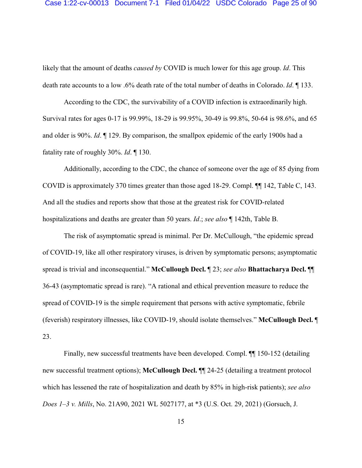likely that the amount of deaths *caused by* COVID is much lower for this age group. *Id*. This death rate accounts to a low .6% death rate of the total number of deaths in Colorado. *Id*. ¶ 133.

According to the CDC, the survivability of a COVID infection is extraordinarily high. Survival rates for ages 0-17 is 99.99%, 18-29 is 99.95%, 30-49 is 99.8%, 50-64 is 98.6%, and 65 and older is 90%. *Id*. ¶ 129. By comparison, the smallpox epidemic of the early 1900s had a fatality rate of roughly 30%. *Id*. ¶ 130.

Additionally, according to the CDC, the chance of someone over the age of 85 dying from COVID is approximately 370 times greater than those aged 18-29. Compl. ¶¶ 142, Table C, 143. And all the studies and reports show that those at the greatest risk for COVID-related hospitalizations and deaths are greater than 50 years. *Id*.; *see also* ¶ 142th, Table B.

The risk of asymptomatic spread is minimal. Per Dr. McCullough, "the epidemic spread of COVID-19, like all other respiratory viruses, is driven by symptomatic persons; asymptomatic spread is trivial and inconsequential." **McCullough Decl.** ¶ 23; *see also* **Bhattacharya Decl.** ¶¶ 36-43 (asymptomatic spread is rare). "A rational and ethical prevention measure to reduce the spread of COVID-19 is the simple requirement that persons with active symptomatic, febrile (feverish) respiratory illnesses, like COVID-19, should isolate themselves." **McCullough Decl.** ¶ 23.

Finally, new successful treatments have been developed. Compl. ¶¶ 150-152 (detailing new successful treatment options); **McCullough Decl.** ¶¶ 24-25 (detailing a treatment protocol which has lessened the rate of hospitalization and death by 85% in high-risk patients); *see also Does 1–3 v. Mills*, No. 21A90, 2021 WL 5027177, at \*3 (U.S. Oct. 29, 2021) (Gorsuch, J.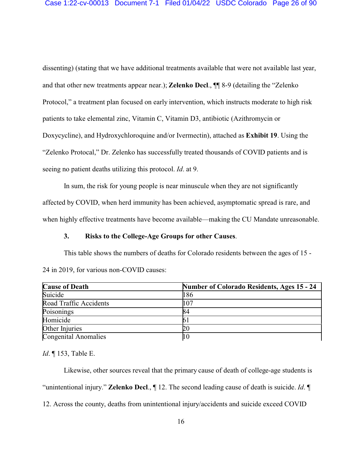dissenting) (stating that we have additional treatments available that were not available last year, and that other new treatments appear near.); **Zelenko Decl**., ¶¶ 8-9 (detailing the "Zelenko Protocol," a treatment plan focused on early intervention, which instructs moderate to high risk patients to take elemental zinc, Vitamin C, Vitamin D3, antibiotic (Azithromycin or Doxycycline), and Hydroxychloroquine and/or Ivermectin), attached as **Exhibit 19**. Using the "Zelenko Protocal," Dr. Zelenko has successfully treated thousands of COVID patients and is seeing no patient deaths utilizing this protocol. *Id*. at 9.

In sum, the risk for young people is near minuscule when they are not significantly affected by COVID, when herd immunity has been achieved, asymptomatic spread is rare, and when highly effective treatments have become available—making the CU Mandate unreasonable.

#### **3. Risks to the College-Age Groups for other Causes**.

This table shows the numbers of deaths for Colorado residents between the ages of 15 - 24 in 2019, for various non-COVID causes:

| <b>Cause of Death</b>       | <b>Number of Colorado Residents, Ages 15 - 24</b> |
|-----------------------------|---------------------------------------------------|
| Suicide                     | 186                                               |
| Road Traffic Accidents      | 107                                               |
| Poisonings                  | 84                                                |
| Homicide                    |                                                   |
| Other Injuries              | 20                                                |
| <b>Congenital Anomalies</b> |                                                   |

*Id*. ¶ 153, Table E.

Likewise, other sources reveal that the primary cause of death of college-age students is "unintentional injury." **Zelenko Decl**., ¶ 12. The second leading cause of death is suicide. *Id*. ¶ 12. Across the county, deaths from unintentional injury/accidents and suicide exceed COVID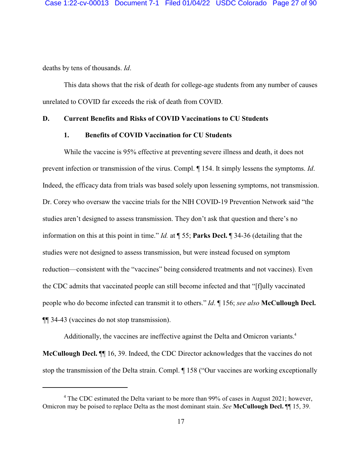deaths by tens of thousands. *Id*.

This data shows that the risk of death for college-age students from any number of causes unrelated to COVID far exceeds the risk of death from COVID.

#### **D. Current Benefits and Risks of COVID Vaccinations to CU Students**

#### **1. Benefits of COVID Vaccination for CU Students**

While the vaccine is 95% effective at preventing severe illness and death, it does not prevent infection or transmission of the virus. Compl. ¶ 154. It simply lessens the symptoms. *Id*. Indeed, the efficacy data from trials was based solely upon lessening symptoms, not transmission. Dr. Corey who oversaw the vaccine trials for the NIH COVID-19 Prevention Network said "the studies aren't designed to assess transmission. They don't ask that question and there's no information on this at this point in time." *Id.* at ¶ 55; **Parks Decl.** ¶ 34-36 (detailing that the studies were not designed to assess transmission, but were instead focused on symptom reduction—consistent with the "vaccines" being considered treatments and not vaccines). Even the CDC admits that vaccinated people can still become infected and that "[f]ully vaccinated people who do become infected can transmit it to others." *Id*. ¶ 156; *see also* **McCullough Decl.** ¶¶ 34-43 (vaccines do not stop transmission).

Additionally, the vaccines are ineffective against the Delta and Omicron variants.<sup>4</sup> **McCullough Decl.** ¶¶ 16, 39. Indeed, the CDC Director acknowledges that the vaccines do not stop the transmission of the Delta strain. Compl. ¶ 158 ("Our vaccines are working exceptionally

<sup>&</sup>lt;sup>4</sup> The CDC estimated the Delta variant to be more than 99% of cases in August 2021; however, Omicron may be poised to replace Delta as the most dominant stain. *See* **McCullough Decl.** ¶¶ 15, 39.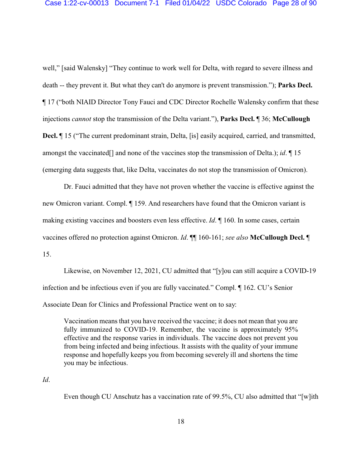well," [said Walensky] "They continue to work well for Delta, with regard to severe illness and death -- they prevent it. But what they can't do anymore is prevent transmission."); **Parks Decl.** ¶ 17 ("both NIAID Director Tony Fauci and CDC Director Rochelle Walensky confirm that these injections *cannot* stop the transmission of the Delta variant."), **Parks Decl.** ¶ 36; **McCullough Decl.**  $\parallel$  15 ("The current predominant strain, Delta, [is] easily acquired, carried, and transmitted, amongst the vaccinated[] and none of the vaccines stop the transmission of Delta.); *id*. ¶ 15 (emerging data suggests that, like Delta, vaccinates do not stop the transmission of Omicron).

Dr. Fauci admitted that they have not proven whether the vaccine is effective against the new Omicron variant. Compl. ¶ 159. And researchers have found that the Omicron variant is making existing vaccines and boosters even less effective. *Id*. ¶ 160. In some cases, certain vaccines offered no protection against Omicron. *Id*. ¶¶ 160-161; *see also* **McCullough Decl.** ¶ 15.

Likewise, on November 12, 2021, CU admitted that "[y]ou can still acquire a COVID-19 infection and be infectious even if you are fully vaccinated." Compl. ¶ 162. CU's Senior Associate Dean for Clinics and Professional Practice went on to say:

Vaccination means that you have received the vaccine; it does not mean that you are fully immunized to COVID-19. Remember, the vaccine is approximately 95% effective and the response varies in individuals. The vaccine does not prevent you from being infected and being infectious. It assists with the quality of your immune response and hopefully keeps you from becoming severely ill and shortens the time you may be infectious.

*Id*.

Even though CU Anschutz has a vaccination rate of 99.5%, CU also admitted that "[w]ith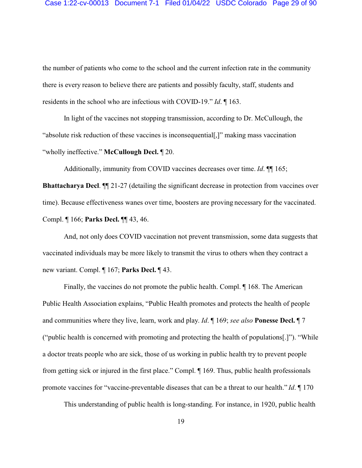the number of patients who come to the school and the current infection rate in the community there is every reason to believe there are patients and possibly faculty, staff, students and residents in the school who are infectious with COVID-19." *Id*. ¶ 163.

In light of the vaccines not stopping transmission, according to Dr. McCullough, the "absolute risk reduction of these vaccines is inconsequential[,]" making mass vaccination "wholly ineffective." **McCullough Decl.** ¶ 20.

Additionally, immunity from COVID vaccines decreases over time. *Id*. ¶¶ 165; **Bhattacharya Decl.**  $\P$  21-27 (detailing the significant decrease in protection from vaccines over time). Because effectiveness wanes over time, boosters are proving necessary for the vaccinated. Compl. ¶ 166; **Parks Decl.** ¶¶ 43, 46.

And, not only does COVID vaccination not prevent transmission, some data suggests that vaccinated individuals may be more likely to transmit the virus to others when they contract a new variant. Compl. ¶ 167; **Parks Decl.** ¶ 43.

Finally, the vaccines do not promote the public health. Compl. ¶ 168. The American Public Health Association explains, "Public Health promotes and protects the health of people and communities where they live, learn, work and play. *Id*. ¶ 169; *see also* **Ponesse Decl.** ¶ 7 ("public health is concerned with promoting and protecting the health of populations[.]"). "While a doctor treats people who are sick, those of us working in public health try to prevent people from getting sick or injured in the first place." Compl. ¶ 169. Thus, public health professionals promote vaccines for "vaccine-preventable diseases that can be a threat to our health." *Id*. ¶ 170

This understanding of public health is long-standing. For instance, in 1920, public health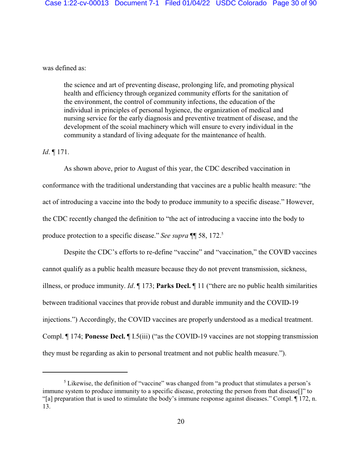was defined as:

the science and art of preventing disease, prolonging life, and promoting physical health and efficiency through organized community efforts for the sanitation of the environment, the control of community infections, the education of the individual in principles of personal hygience, the organization of medical and nursing service for the early diagnosis and preventive treatment of disease, and the development of the scoial machinery which will ensure to every individual in the community a standard of living adequate for the maintenance of health.

#### *Id*. ¶ 171.

As shown above, prior to August of this year, the CDC described vaccination in conformance with the traditional understanding that vaccines are a public health measure: "the act of introducing a vaccine into the body to produce immunity to a specific disease." However, the CDC recently changed the definition to "the act of introducing a vaccine into the body to produce protection to a specific disease." *See supra* ¶¶ 58, 172.<sup>5</sup>

Despite the CDC's efforts to re-define "vaccine" and "vaccination," the COVID vaccines cannot qualify as a public health measure because they do not prevent transmission, sickness, illness, or produce immunity. *Id*. ¶ 173; **Parks Decl.** ¶ 11 ("there are no public health similarities between traditional vaccines that provide robust and durable immunity and the COVID-19 injections.") Accordingly, the COVID vaccines are properly understood as a medical treatment. Compl. ¶ 174; **Ponesse Decl.** ¶ I.5(iii) ("as the COVID-19 vaccines are not stopping transmission they must be regarding as akin to personal treatment and not public health measure.").

 $<sup>5</sup>$  Likewise, the definition of "vaccine" was changed from "a product that stimulates a person's</sup> immune system to produce immunity to a specific disease, protecting the person from that disease[]" to "[a] preparation that is used to stimulate the body's immune response against diseases." Compl. ¶ 172, n. 13.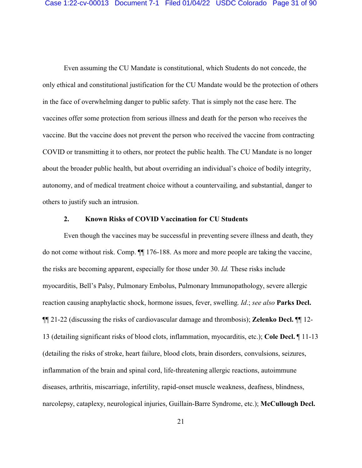Even assuming the CU Mandate is constitutional, which Students do not concede, the only ethical and constitutional justification for the CU Mandate would be the protection of others in the face of overwhelming danger to public safety. That is simply not the case here. The vaccines offer some protection from serious illness and death for the person who receives the vaccine. But the vaccine does not prevent the person who received the vaccine from contracting COVID or transmitting it to others, nor protect the public health. The CU Mandate is no longer about the broader public health, but about overriding an individual's choice of bodily integrity, autonomy, and of medical treatment choice without a countervailing, and substantial, danger to others to justify such an intrusion.

# **2. Known Risks of COVID Vaccination for CU Students**

Even though the vaccines may be successful in preventing severe illness and death, they do not come without risk. Comp. ¶¶ 176-188. As more and more people are taking the vaccine, the risks are becoming apparent, especially for those under 30. *Id.* These risks include myocarditis, Bell's Palsy, Pulmonary Embolus, Pulmonary Immunopathology, severe allergic reaction causing anaphylactic shock, hormone issues, fever, swelling. *Id*.; *see also* **Parks Decl.** ¶¶ 21-22 (discussing the risks of cardiovascular damage and thrombosis); **Zelenko Decl.** ¶¶ 12- 13 (detailing significant risks of blood clots, inflammation, myocarditis, etc.); **Cole Decl.** ¶ 11-13 (detailing the risks of stroke, heart failure, blood clots, brain disorders, convulsions, seizures, inflammation of the brain and spinal cord, life-threatening allergic reactions, autoimmune diseases, arthritis, miscarriage, infertility, rapid-onset muscle weakness, deafness, blindness, narcolepsy, cataplexy, neurological injuries, Guillain-Barre Syndrome, etc.); **McCullough Decl.**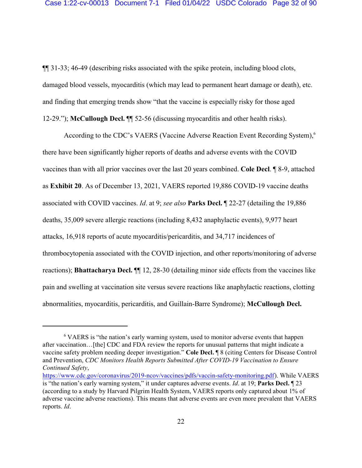¶¶ 31-33; 46-49 (describing risks associated with the spike protein, including blood clots, damaged blood vessels, myocarditis (which may lead to permanent heart damage or death), etc. and finding that emerging trends show "that the vaccine is especially risky for those aged 12-29."); **McCullough Decl.** ¶¶ 52-56 (discussing myocarditis and other health risks).

According to the CDC's VAERS (Vaccine Adverse Reaction Event Recording System),<sup>6</sup> there have been significantly higher reports of deaths and adverse events with the COVID vaccines than with all prior vaccines over the last 20 years combined. **Cole Decl**. ¶ 8-9, attached as **Exhibit 20**. As of December 13, 2021, VAERS reported 19,886 COVID-19 vaccine deaths associated with COVID vaccines. *Id*. at 9; *see also* **Parks Decl.** ¶ 22-27 (detailing the 19,886 deaths, 35,009 severe allergic reactions (including 8,432 anaphylactic events), 9,977 heart attacks, 16,918 reports of acute myocarditis/pericarditis, and 34,717 incidences of thrombocytopenia associated with the COVID injection, and other reports/monitoring of adverse reactions); **Bhattacharya Decl.** ¶¶ 12, 28-30 (detailing minor side effects from the vaccines like pain and swelling at vaccination site versus severe reactions like anaphylactic reactions, clotting abnormalities, myocarditis, pericarditis, and Guillain-Barre Syndrome); **McCullough Decl.**

<sup>&</sup>lt;sup>6</sup> VAERS is "the nation's early warning system, used to monitor adverse events that happen after vaccination…[the] CDC and FDA review the reports for unusual patterns that might indicate a vaccine safety problem needing deeper investigation." **Cole Decl.** ¶ 8 (citing Centers for Disease Control and Prevention, *CDC Monitors Health Reports Submitted After COVID-19 Vaccination to Ensure Continued Safety*,

[https://www.cdc.gov/coronavirus/2019-ncov/vaccines/pdfs/vaccin-safety-monitoring.pdf](https://www.cdc.gov/coronavirus/2019-ncov/vaccines/pdfs/vaccine-safety-monitoring.pdf)). While VAERS is "the nation's early warning system," it under captures adverse events. *Id*. at 19; **Parks Decl.** ¶ 23 (according to a study by Harvard Pilgrim Health System, VAERS reports only captured about 1% of adverse vaccine adverse reactions). This means that adverse events are even more prevalent that VAERS reports. *Id*.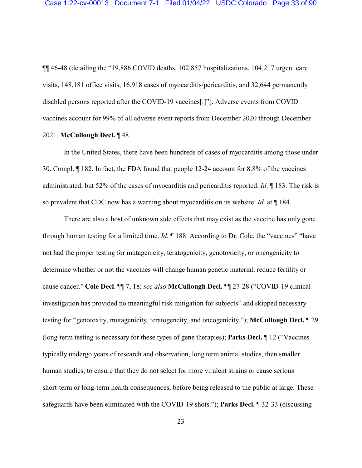¶¶ 46-48 (detailing the "19,886 COVID deaths, 102,857 hospitalizations, 104,217 urgent care visits, 148,181 office visits, 16,918 cases of myocarditis/pericarditis, and 32,644 permanently disabled persons reported after the COVID-19 vaccines[.]"). Adverse events from COVID vaccines account for 99% of all adverse event reports from December 2020 through December 2021. **McCullough Decl.** ¶ 48.

In the United States, there have been hundreds of cases of myocarditis among those under 30. Compl. ¶ 182. In fact, the FDA found that people 12-24 account for 8.8% of the vaccines administrated, but 52% of the cases of myocarditis and pericarditis reported. *Id*. ¶ 183. The risk is so prevalent that CDC now has a warning about myocarditis on its website. *Id.* at ¶ 184.

There are also a host of unknown side effects that may exist as the vaccine has only gone through human testing for a limited time. *Id.* ¶ 188. According to Dr. Cole, the "vaccines" "have not had the proper testing for mutagenicity, teratogenicity, genotoxicity, or oncogenicity to determine whether or not the vaccines will change human genetic material, reduce fertility or cause cancer." **Cole Decl**. ¶¶ 7, 18; *see also* **McCullough Decl.** ¶¶ 27-28 ("COVID-19 clinical investigation has provided no meaningful risk mitigation for subjects" and skipped necessary testing for "genotoxity, mutagenicity, teratogencity, and oncogenicity."); **McCullough Decl.** ¶ 29 (long-term testing is necessary for these types of gene therapies); **Parks Decl.** ¶ 12 ("Vaccines typically undergo years of research and observation, long term animal studies, then smaller human studies, to ensure that they do not select for more virulent strains or cause serious short-term or long-term health consequences, before being released to the public at large. These safeguards have been eliminated with the COVID-19 shots."); **Parks Decl.** ¶ 32-33 (discussing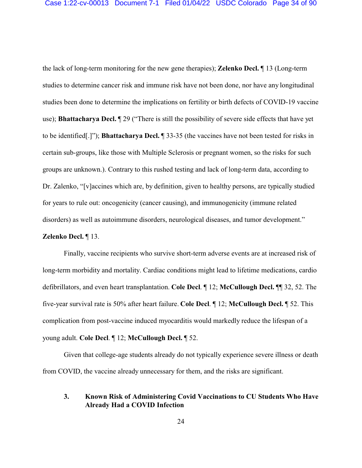the lack of long-term monitoring for the new gene therapies); **Zelenko Decl.** ¶ 13 (Long-term studies to determine cancer risk and immune risk have not been done, nor have any longitudinal studies been done to determine the implications on fertility or birth defects of COVID-19 vaccine use); **Bhattacharya Decl.** ¶ 29 ("There is still the possibility of severe side effects that have yet to be identified[.]"); **Bhattacharya Decl.** ¶ 33-35 (the vaccines have not been tested for risks in certain sub-groups, like those with Multiple Sclerosis or pregnant women, so the risks for such groups are unknown.). Contrary to this rushed testing and lack of long-term data, according to Dr. Zalenko, "[v]accines which are, by definition, given to healthy persons, are typically studied for years to rule out: oncogenicity (cancer causing), and immunogenicity (immune related disorders) as well as autoimmune disorders, neurological diseases, and tumor development."

#### **Zelenko Decl.** ¶ 13.

Finally, vaccine recipients who survive short-term adverse events are at increased risk of long-term morbidity and mortality. Cardiac conditions might lead to lifetime medications, cardio defibrillators, and even heart transplantation. **Cole Decl**. ¶ 12; **McCullough Decl.** ¶¶ 32, 52. The five-year survival rate is 50% after heart failure. **Cole Decl**. ¶ 12; **McCullough Decl.** ¶ 52. This complication from post-vaccine induced myocarditis would markedly reduce the lifespan of a young adult. **Cole Decl**. ¶ 12; **McCullough Decl.** ¶ 52.

Given that college-age students already do not typically experience severe illness or death from COVID, the vaccine already unnecessary for them, and the risks are significant.

# **3. Known Risk of Administering Covid Vaccinations to CU Students Who Have Already Had a COVID Infection**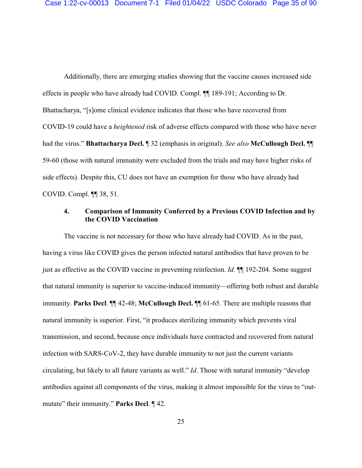Additionally, there are emerging studies showing that the vaccine causes increased side effects in people who have already had COVID. Compl. ¶¶ 189-191; According to Dr. Bhattacharya, "[s]ome clinical evidence indicates that those who have recovered from COVID-19 could have a *heightened* risk of adverse effects compared with those who have never had the virus." **Bhattacharya Decl.** ¶ 32 (emphasis in original). *See also* **McCullough Decl.** ¶¶ 59-60 (those with natural immunity were excluded from the trials and may have higher risks of side effects). Despite this, CU does not have an exemption for those who have already had COVID. Compl. ¶¶ 38, 51.

# **4. Comparison of Immunity Conferred by a Previous COVID Infection and by the COVID Vaccination**

The vaccine is not necessary for those who have already had COVID. As in the past, having a virus like COVID gives the person infected natural antibodies that have proven to be just as effective as the COVID vaccine in preventing reinfection. *Id.* ¶¶ 192-204. Some suggest that natural immunity is superior to vaccine-induced immunity—offering both robust and durable immunity. **Parks Decl**. ¶¶ 42-48; **McCullough Decl.** ¶¶ 61-65. There are multiple reasons that natural immunity is superior. First, "it produces sterilizing immunity which prevents viral transmission, and second, because once individuals have contracted and recovered from natural infection with SARS-CoV-2, they have durable immunity to not just the current variants circulating, but likely to all future variants as well." *Id*. Those with natural immunity "develop antibodies against all components of the virus, making it almost impossible for the virus to "outmutate" their immunity." **Parks Decl**. ¶ 42.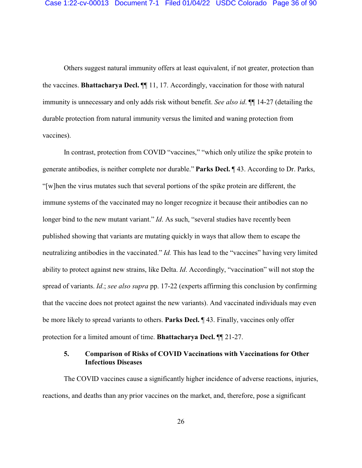Others suggest natural immunity offers at least equivalent, if not greater, protection than the vaccines. **Bhattacharya Decl.** ¶¶ 11, 17. Accordingly, vaccination for those with natural immunity is unnecessary and only adds risk without benefit. *See also id*. ¶¶ 14-27 (detailing the durable protection from natural immunity versus the limited and waning protection from vaccines).

In contrast, protection from COVID "vaccines," "which only utilize the spike protein to generate antibodies, is neither complete nor durable." **Parks Decl.** ¶ 43. According to Dr. Parks, "[w]hen the virus mutates such that several portions of the spike protein are different, the immune systems of the vaccinated may no longer recognize it because their antibodies can no longer bind to the new mutant variant." *Id*. As such, "several studies have recently been published showing that variants are mutating quickly in ways that allow them to escape the neutralizing antibodies in the vaccinated." *Id.* This has lead to the "vaccines" having very limited ability to protect against new strains, like Delta. *Id*. Accordingly, "vaccination" will not stop the spread of variants. *Id*.; *see also supra* pp. 17-22 (experts affirming this conclusion by confirming that the vaccine does not protect against the new variants). And vaccinated individuals may even be more likely to spread variants to others. **Parks Decl.** ¶ 43. Finally, vaccines only offer protection for a limited amount of time. **Bhattacharya Decl.** ¶¶ 21-27.

# **5. Comparison of Risks of COVID Vaccinations with Vaccinations for Other Infectious Diseases**

The COVID vaccines cause a significantly higher incidence of adverse reactions, injuries, reactions, and deaths than any prior vaccines on the market, and, therefore, pose a significant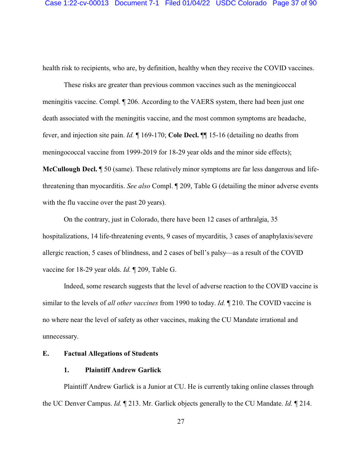health risk to recipients, who are, by definition, healthy when they receive the COVID vaccines.

These risks are greater than previous common vaccines such as the meningicoccal meningitis vaccine. Compl. ¶ 206. According to the VAERS system, there had been just one death associated with the meningitis vaccine, and the most common symptoms are headache, fever, and injection site pain. *Id.* ¶ 169-170; **Cole Decl.** ¶¶ 15-16 (detailing no deaths from meningococcal vaccine from 1999-2019 for 18-29 year olds and the minor side effects);

**McCullough Decl.** ¶ 50 (same). These relatively minor symptoms are far less dangerous and lifethreatening than myocarditis. *See also* Compl. ¶ 209, Table G (detailing the minor adverse events with the flu vaccine over the past 20 years).

On the contrary, just in Colorado, there have been 12 cases of arthralgia, 35 hospitalizations, 14 life-threatening events, 9 cases of mycarditis, 3 cases of anaphylaxis/severe allergic reaction, 5 cases of blindness, and 2 cases of bell's palsy—as a result of the COVID vaccine for 18-29 year olds. *Id.* ¶ 209, Table G.

Indeed, some research suggests that the level of adverse reaction to the COVID vaccine is similar to the levels of *all other vaccines* from 1990 to today. *Id.* ¶ 210. The COVID vaccine is no where near the level of safety as other vaccines, making the CU Mandate irrational and unnecessary.

#### **E. Factual Allegations of Students**

#### **1. Plaintiff Andrew Garlick**

Plaintiff Andrew Garlick is a Junior at CU. He is currently taking online classes through the UC Denver Campus. *Id.* ¶ 213. Mr. Garlick objects generally to the CU Mandate. *Id.* ¶ 214.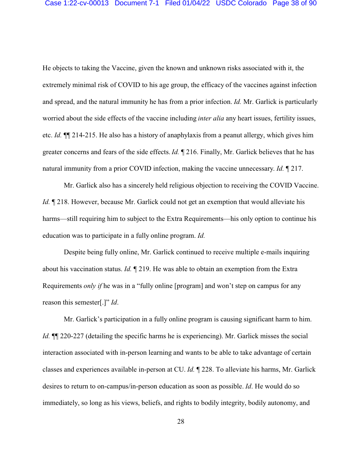He objects to taking the Vaccine, given the known and unknown risks associated with it, the extremely minimal risk of COVID to his age group, the efficacy of the vaccines against infection and spread, and the natural immunity he has from a prior infection. *Id.* Mr. Garlick is particularly worried about the side effects of the vaccine including *inter alia* any heart issues, fertility issues, etc. *Id.* ¶¶ 214-215. He also has a history of anaphylaxis from a peanut allergy, which gives him greater concerns and fears of the side effects. *Id.* ¶ 216. Finally, Mr. Garlick believes that he has natural immunity from a prior COVID infection, making the vaccine unnecessary. *Id.* ¶ 217.

Mr. Garlick also has a sincerely held religious objection to receiving the COVID Vaccine. *Id.*  $\parallel$  218. However, because Mr. Garlick could not get an exemption that would alleviate his harms—still requiring him to subject to the Extra Requirements—his only option to continue his education was to participate in a fully online program. *Id.*

Despite being fully online, Mr. Garlick continued to receive multiple e-mails inquiring about his vaccination status. *Id.* ¶ 219. He was able to obtain an exemption from the Extra Requirements *only if* he was in a "fully online [program] and won't step on campus for any reason this semester[.]" *Id*.

Mr. Garlick's participation in a fully online program is causing significant harm to him. *Id.*  $\P$  220-227 (detailing the specific harms he is experiencing). Mr. Garlick misses the social interaction associated with in-person learning and wants to be able to take advantage of certain classes and experiences available in-person at CU. *Id.* ¶ 228. To alleviate his harms, Mr. Garlick desires to return to on-campus/in-person education as soon as possible. *Id*. He would do so immediately, so long as his views, beliefs, and rights to bodily integrity, bodily autonomy, and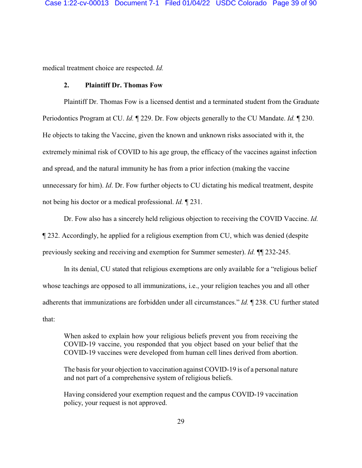medical treatment choice are respected. *Id.* 

### **2. Plaintiff Dr. Thomas Fow**

Plaintiff Dr. Thomas Fow is a licensed dentist and a terminated student from the Graduate Periodontics Program at CU. *Id.* ¶ 229. Dr. Fow objects generally to the CU Mandate. *Id.* ¶ 230. He objects to taking the Vaccine, given the known and unknown risks associated with it, the extremely minimal risk of COVID to his age group, the efficacy of the vaccines against infection and spread, and the natural immunity he has from a prior infection (making the vaccine unnecessary for him). *Id*. Dr. Fow further objects to CU dictating his medical treatment, despite not being his doctor or a medical professional. *Id.* ¶ 231.

Dr. Fow also has a sincerely held religious objection to receiving the COVID Vaccine. *Id.* ¶ 232. Accordingly, he applied for a religious exemption from CU, which was denied (despite previously seeking and receiving and exemption for Summer semester). *Id.* ¶¶ 232-245.

In its denial, CU stated that religious exemptions are only available for a "religious belief whose teachings are opposed to all immunizations, i.e., your religion teaches you and all other adherents that immunizations are forbidden under all circumstances." *Id.* ¶ 238. CU further stated that:

When asked to explain how your religious beliefs prevent you from receiving the COVID-19 vaccine, you responded that you object based on your belief that the COVID-19 vaccines were developed from human cell lines derived from abortion.

The basis for your objection to vaccination against COVID-19 is of a personal nature and not part of a comprehensive system of religious beliefs.

Having considered your exemption request and the campus COVID-19 vaccination policy, your request is not approved.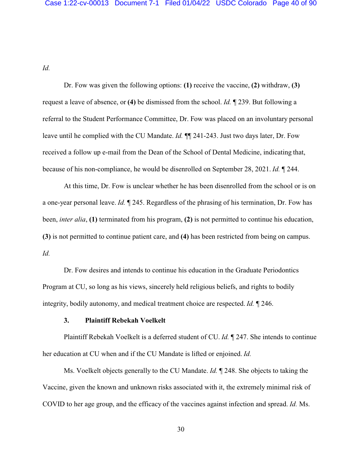*Id.* 

Dr. Fow was given the following options: **(1)** receive the vaccine, **(2)** withdraw, **(3)** request a leave of absence, or **(4)** be dismissed from the school. *Id.* ¶ 239. But following a referral to the Student Performance Committee, Dr. Fow was placed on an involuntary personal leave until he complied with the CU Mandate. *Id.* ¶¶ 241-243. Just two days later, Dr. Fow received a follow up e-mail from the Dean of the School of Dental Medicine, indicating that, because of his non-compliance, he would be disenrolled on September 28, 2021. *Id.* ¶ 244.

At this time, Dr. Fow is unclear whether he has been disenrolled from the school or is on a one-year personal leave. *Id.* ¶ 245. Regardless of the phrasing of his termination, Dr. Fow has been, *inter alia*, **(1)** terminated from his program, **(2)** is not permitted to continue his education, **(3)** is not permitted to continue patient care, and **(4)** has been restricted from being on campus. *Id.*

Dr. Fow desires and intends to continue his education in the Graduate Periodontics Program at CU, so long as his views, sincerely held religious beliefs, and rights to bodily integrity, bodily autonomy, and medical treatment choice are respected. *Id.* ¶ 246.

#### **3. Plaintiff Rebekah Voelkelt**

Plaintiff Rebekah Voelkelt is a deferred student of CU. *Id.* ¶ 247. She intends to continue her education at CU when and if the CU Mandate is lifted or enjoined. *Id.*

Ms. Voelkelt objects generally to the CU Mandate. *Id.* ¶ 248. She objects to taking the Vaccine, given the known and unknown risks associated with it, the extremely minimal risk of COVID to her age group, and the efficacy of the vaccines against infection and spread. *Id.* Ms.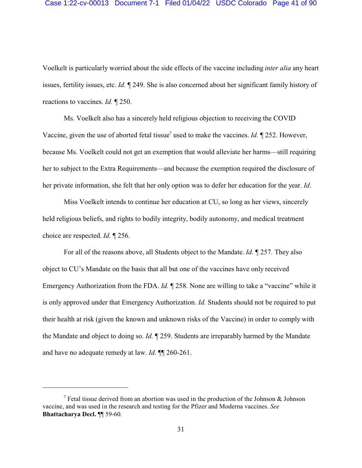#### Case 1:22-cv-00013 Document 7-1 Filed 01/04/22 USDC Colorado Page 41 of 90

Voelkelt is particularly worried about the side effects of the vaccine including *inter alia* any heart issues, fertility issues, etc. *Id.* ¶ 249. She is also concerned about her significant family history of reactions to vaccines. *Id.* ¶ 250.

Ms. Voelkelt also has a sincerely held religious objection to receiving the COVID Vaccine, given the use of aborted fetal tissue<sup>7</sup> used to make the vaccines. *Id.* 1252. However, because Ms. Voelkelt could not get an exemption that would alleviate her harms—still requiring her to subject to the Extra Requirements—and because the exemption required the disclosure of her private information, she felt that her only option was to defer her education for the year. *Id*.

Miss Voelkelt intends to continue her education at CU, so long as her views, sincerely held religious beliefs, and rights to bodily integrity, bodily autonomy, and medical treatment choice are respected. *Id.* ¶ 256.

For all of the reasons above, all Students object to the Mandate. *Id.* ¶ 257. They also object to CU's Mandate on the basis that all but one of the vaccines have only received Emergency Authorization from the FDA. *Id.* ¶ 258. None are willing to take a "vaccine" while it is only approved under that Emergency Authorization. *Id.* Students should not be required to put their health at risk (given the known and unknown risks of the Vaccine) in order to comply with the Mandate and object to doing so. *Id.* ¶ 259. Students are irreparably harmed by the Mandate and have no adequate remedy at law. *Id.* ¶¶ 260-261.

<sup>&</sup>lt;sup>7</sup> Fetal tissue derived from an abortion was used in the production of the Johnson & Johnson vaccine, and was used in the research and testing for the Pfizer and Moderna vaccines. *See* **Bhattacharya Decl.** ¶¶ 59-60.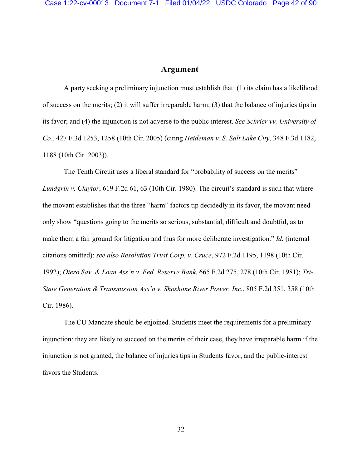### **Argument**

A party seeking a preliminary injunction must establish that: (1) its claim has a likelihood of success on the merits; (2) it will suffer irreparable harm; (3) that the balance of injuries tips in its favor; and (4) the injunction is not adverse to the public interest. *See Schrier vv. University of Co.*, 427 F.3d 1253, 1258 (10th Cir. 2005) (citing *Heideman v. S. Salt Lake City*, 348 F.3d 1182, 1188 (10th Cir. 2003)).

The Tenth Circuit uses a liberal standard for "probability of success on the merits" *Lundgrin v. Claytor*, 619 F.2d 61, 63 (10th Cir. 1980). The circuit's standard is such that where the movant establishes that the three "harm" factors tip decidedly in its favor, the movant need only show "questions going to the merits so serious, substantial, difficult and doubtful, as to make them a fair ground for litigation and thus for more deliberate investigation." *Id.* (internal citations omitted); *see also Resolution Trust Corp. v. Cruce*, 972 F.2d 1195, 1198 (10th Cir. 1992); *Otero Sav. & Loan Ass'n v. Fed. Reserve Bank*, 665 F.2d 275, 278 (10th Cir. 1981); *Tri-State Generation & Transmission Ass'n v. Shoshone River Power, Inc.*, 805 F.2d 351, 358 (10th Cir. 1986).

The CU Mandate should be enjoined. Students meet the requirements for a preliminary injunction: they are likely to succeed on the merits of their case, they have irreparable harm if the injunction is not granted, the balance of injuries tips in Students favor, and the public-interest favors the Students.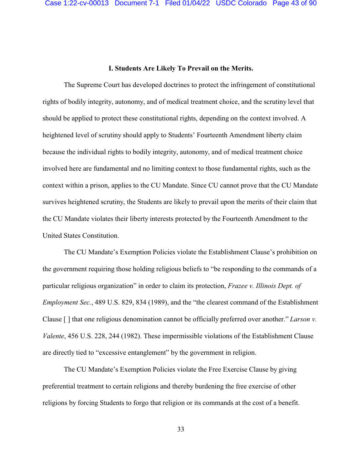#### **I. Students Are Likely To Prevail on the Merits.**

The Supreme Court has developed doctrines to protect the infringement of constitutional rights of bodily integrity, autonomy, and of medical treatment choice, and the scrutiny level that should be applied to protect these constitutional rights, depending on the context involved. A heightened level of scrutiny should apply to Students' Fourteenth Amendment liberty claim because the individual rights to bodily integrity, autonomy, and of medical treatment choice involved here are fundamental and no limiting context to those fundamental rights, such as the context within a prison, applies to the CU Mandate. Since CU cannot prove that the CU Mandate survives heightened scrutiny, the Students are likely to prevail upon the merits of their claim that the CU Mandate violates their liberty interests protected by the Fourteenth Amendment to the United States Constitution.

The CU Mandate's Exemption Policies violate the Establishment Clause's prohibition on the government requiring those holding religious beliefs to "be responding to the commands of a particular religious organization" in order to claim its protection, *Frazee v. Illinois Dept. of Employment Sec.*, 489 U.S. 829, 834 (1989), and the "the clearest command of the Establishment Clause [ ] that one religious denomination cannot be officially preferred over another." *Larson v. Valente*, 456 U.S. 228, 244 (1982). These impermissible violations of the Establishment Clause are directly tied to "excessive entanglement" by the government in religion.

The CU Mandate's Exemption Policies violate the Free Exercise Clause by giving preferential treatment to certain religions and thereby burdening the free exercise of other religions by forcing Students to forgo that religion or its commands at the cost of a benefit.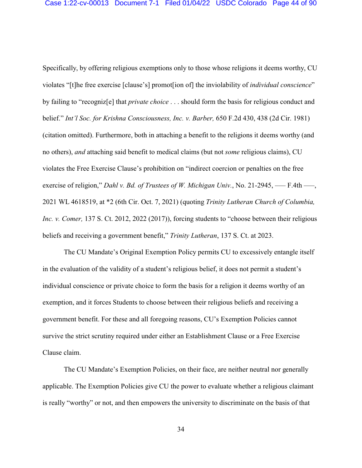Specifically, by offering religious exemptions only to those whose religions it deems worthy, CU violates "[t]he free exercise [clause's] promot[ion of] the inviolability of *individual conscience*" by failing to "recogniz[e] that *private choice* . . . should form the basis for religious conduct and belief." *Int'l Soc. for Krishna Consciousness, Inc. v. Barber,* 650 F.2d 430, 438 (2d Cir. 1981) (citation omitted). Furthermore, both in attaching a benefit to the religions it deems worthy (and no others), *and* attaching said benefit to medical claims (but not *some* religious claims), CU violates the Free Exercise Clause's prohibition on "indirect coercion or penalties on the free exercise of religion," *Dahl v. Bd. of Trustees of W. Michigan Univ.*, No. 21-2945, — F.4th —, 2021 WL 4618519, at \*2 (6th Cir. Oct. 7, 2021) (quoting *Trinity Lutheran Church of Columbia, Inc. v. Comer,* 137 S. Ct. 2012, 2022 (2017)), forcing students to "choose between their religious beliefs and receiving a government benefit," *Trinity Lutheran*, 137 S. Ct. at 2023.

The CU Mandate's Original Exemption Policy permits CU to excessively entangle itself in the evaluation of the validity of a student's religious belief, it does not permit a student's individual conscience or private choice to form the basis for a religion it deems worthy of an exemption, and it forces Students to choose between their religious beliefs and receiving a government benefit. For these and all foregoing reasons, CU's Exemption Policies cannot survive the strict scrutiny required under either an Establishment Clause or a Free Exercise Clause claim.

The CU Mandate's Exemption Policies, on their face, are neither neutral nor generally applicable. The Exemption Policies give CU the power to evaluate whether a religious claimant is really "worthy" or not, and then empowers the university to discriminate on the basis of that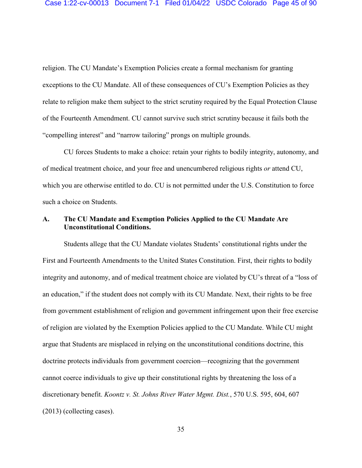religion. The CU Mandate's Exemption Policies create a formal mechanism for granting exceptions to the CU Mandate. All of these consequences of CU's Exemption Policies as they relate to religion make them subject to the strict scrutiny required by the Equal Protection Clause of the Fourteenth Amendment. CU cannot survive such strict scrutiny because it fails both the "compelling interest" and "narrow tailoring" prongs on multiple grounds.

CU forces Students to make a choice: retain your rights to bodily integrity, autonomy, and of medical treatment choice, and your free and unencumbered religious rights *or* attend CU, which you are otherwise entitled to do. CU is not permitted under the U.S. Constitution to force such a choice on Students.

## **A. The CU Mandate and Exemption Policies Applied to the CU Mandate Are Unconstitutional Conditions.**

Students allege that the CU Mandate violates Students' constitutional rights under the First and Fourteenth Amendments to the United States Constitution. First, their rights to bodily integrity and autonomy, and of medical treatment choice are violated by CU's threat of a "loss of an education," if the student does not comply with its CU Mandate. Next, their rights to be free from government establishment of religion and government infringement upon their free exercise of religion are violated by the Exemption Policies applied to the CU Mandate. While CU might argue that Students are misplaced in relying on the unconstitutional conditions doctrine, this doctrine protects individuals from government coercion—recognizing that the government cannot coerce individuals to give up their constitutional rights by threatening the loss of a discretionary benefit. *Koontz v. St. Johns River Water Mgmt. Dist.*, 570 U.S. 595, 604, 607 (2013) (collecting cases).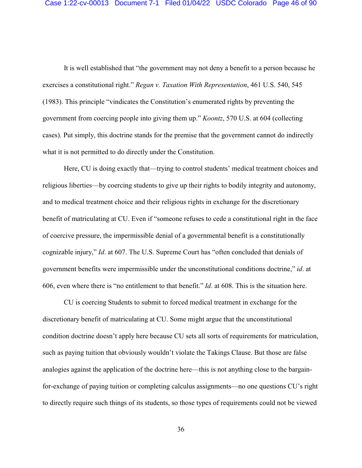It is well established that "the government may not deny a benefit to a person because he exercises a constitutional right." *Regan v. Taxation With Representation*, 461 U.S. 540, 545 (1983). This principle "vindicates the Constitution's enumerated rights by preventing the government from coercing people into giving them up." *Koontz*, 570 U.S. at 604 (collecting cases). Put simply, this doctrine stands for the premise that the government cannot do indirectly what it is not permitted to do directly under the Constitution.

Here, CU is doing exactly that—trying to control students' medical treatment choices and religious liberties—by coercing students to give up their rights to bodily integrity and autonomy, and to medical treatment choice and their religious rights in exchange for the discretionary benefit of matriculating at CU. Even if "someone refuses to cede a constitutional right in the face of coercive pressure, the impermissible denial of a governmental benefit is a constitutionally cognizable injury," *Id*. at 607. The U.S. Supreme Court has "often concluded that denials of government benefits were impermissible under the unconstitutional conditions doctrine," *id*. at 606, even where there is "no entitlement to that benefit." *Id*. at 608. This is the situation here.

CU is coercing Students to submit to forced medical treatment in exchange for the discretionary benefit of matriculating at CU. Some might argue that the unconstitutional condition doctrine doesn't apply here because CU sets all sorts of requirements for matriculation, such as paying tuition that obviously wouldn't violate the Takings Clause. But those are false analogies against the application of the doctrine here—this is not anything close to the bargainfor-exchange of paying tuition or completing calculus assignments—no one questions CU's right to directly require such things of its students, so those types of requirements could not be viewed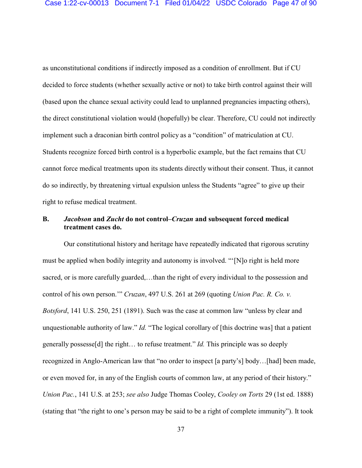as unconstitutional conditions if indirectly imposed as a condition of enrollment. But if CU decided to force students (whether sexually active or not) to take birth control against their will (based upon the chance sexual activity could lead to unplanned pregnancies impacting others), the direct constitutional violation would (hopefully) be clear. Therefore, CU could not indirectly implement such a draconian birth control policy as a "condition" of matriculation at CU. Students recognize forced birth control is a hyperbolic example, but the fact remains that CU cannot force medical treatments upon its students directly without their consent. Thus, it cannot do so indirectly, by threatening virtual expulsion unless the Students "agree" to give up their right to refuse medical treatment.

### **B.** *Jacobson* **and** *Zucht* **do not control–***Cruzan* **and subsequent forced medical treatment cases do.**

Our constitutional history and heritage have repeatedly indicated that rigorous scrutiny must be applied when bodily integrity and autonomy is involved. "'[N]o right is held more sacred, or is more carefully guarded,…than the right of every individual to the possession and control of his own person.'" *Cruzan*, 497 U.S. 261 at 269 (quoting *Union Pac. R. Co. v. Botsford*, 141 U.S. 250, 251 (1891). Such was the case at common law "unless by clear and unquestionable authority of law." *Id.* "The logical corollary of [this doctrine was] that a patient generally possesse[d] the right… to refuse treatment." *Id.* This principle was so deeply recognized in Anglo-American law that "no order to inspect [a party's] body…[had] been made, or even moved for, in any of the English courts of common law, at any period of their history." *Union Pac.*, 141 U.S. at 253; *see also* Judge Thomas Cooley, *Cooley on Torts* 29 (1st ed. 1888) (stating that "the right to one's person may be said to be a right of complete immunity"). It took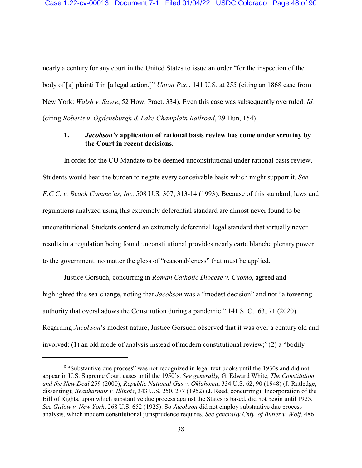nearly a century for any court in the United States to issue an order "for the inspection of the body of [a] plaintiff in [a legal action.]" *Union Pac.*, 141 U.S. at 255 (citing an 1868 case from New York: *Walsh v. Sayre*, 52 How. Pract. 334). Even this case was subsequently overruled. *Id.* (citing *Roberts v. Ogdensburgh & Lake Champlain Railroad*, 29 Hun, 154).

### **1.** *Jacobson's* **application of rational basis review has come under scrutiny by the Court in recent decisions**.

In order for the CU Mandate to be deemed unconstitutional under rational basis review, Students would bear the burden to negate every conceivable basis which might support it. *See F.C.C. v. Beach Commc'ns, Inc,* 508 U.S. 307, 313-14 (1993). Because of this standard, laws and regulations analyzed using this extremely deferential standard are almost never found to be unconstitutional. Students contend an extremely deferential legal standard that virtually never results in a regulation being found unconstitutional provides nearly carte blanche plenary power to the government, no matter the gloss of "reasonableness" that must be applied.

Justice Gorsuch, concurring in *Roman Catholic Diocese v. Cuomo*, agreed and highlighted this sea-change, noting that *Jacobson* was a "modest decision" and not "a towering authority that overshadows the Constitution during a pandemic." 141 S. Ct. 63, 71 (2020). Regarding *Jacobson*'s modest nature, Justice Gorsuch observed that it was over a century old and involved: (1) an old mode of analysis instead of modern constitutional review; $^{8}$  (2) a "bodily-

<sup>&</sup>lt;sup>8</sup> "Substantive due process" was not recognized in legal text books until the 1930s and did not appear in U.S. Supreme Court cases until the 1950's. *See generally*, G. Edward White, *The Constitution and the New Deal* 259 (2000); *Republic National Gas v. Oklahoma*, 334 U.S. 62, 90 (1948) (J. Rutledge, dissenting); *Beauharnais v. Illinois*, 343 U.S. 250, 277 (1952) (J. Reed, concurring). Incorporation of the Bill of Rights, upon which substantive due process against the States is based, did not begin until 1925. *See Gitlow v. New York*, 268 U.S. 652 (1925). So *Jacobson* did not employ substantive due process analysis, which modern constitutional jurisprudence requires. *See generally Cnty. of Butler v. Wolf*, 486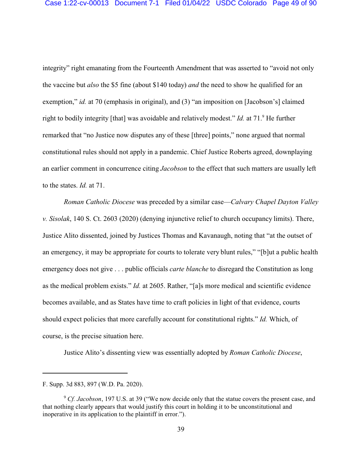integrity" right emanating from the Fourteenth Amendment that was asserted to "avoid not only the vaccine but *also* the \$5 fine (about \$140 today) *and* the need to show he qualified for an exemption," *id.* at 70 (emphasis in original), and (3) "an imposition on [Jacobson's] claimed right to bodily integrity [that] was avoidable and relatively modest." *Id.* at 71.<sup>9</sup> He further remarked that "no Justice now disputes any of these [three] points," none argued that normal constitutional rules should not apply in a pandemic. Chief Justice Roberts agreed, downplaying an earlier comment in concurrence citing *Jacobson* to the effect that such matters are usually left to the states. *Id.* at 71.

*Roman Catholic Diocese* was preceded by a similar case—*Calvary Chapel Dayton Valley v. Sisolak*, 140 S. Ct. 2603 (2020) (denying injunctive relief to church occupancy limits). There, Justice Alito dissented, joined by Justices Thomas and Kavanaugh, noting that "at the outset of an emergency, it may be appropriate for courts to tolerate very blunt rules," "[b]ut a public health emergency does not give . . . public officials *carte blanche* to disregard the Constitution as long as the medical problem exists." *Id.* at 2605. Rather, "[a]s more medical and scientific evidence becomes available, and as States have time to craft policies in light of that evidence, courts should expect policies that more carefully account for constitutional rights." *Id.* Which, of course, is the precise situation here.

Justice Alito's dissenting view was essentially adopted by *Roman Catholic Diocese*,

F. Supp. 3d 883, 897 (W.D. Pa. 2020).

<sup>&</sup>lt;sup>9</sup> *Cf. Jacobson*, 197 U.S. at 39 ("We now decide only that the statue covers the present case, and that nothing clearly appears that would justify this court in holding it to be unconstitutional and inoperative in its application to the plaintiff in error.").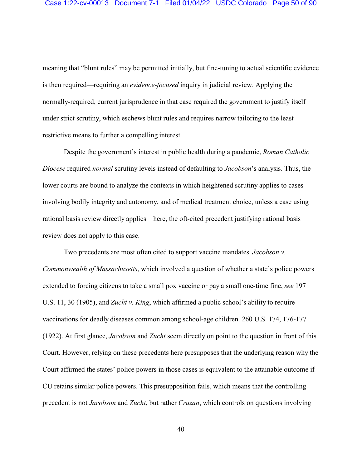meaning that "blunt rules" may be permitted initially, but fine-tuning to actual scientific evidence is then required—requiring an *evidence-focused* inquiry in judicial review. Applying the normally-required, current jurisprudence in that case required the government to justify itself under strict scrutiny, which eschews blunt rules and requires narrow tailoring to the least restrictive means to further a compelling interest.

Despite the government's interest in public health during a pandemic, *Roman Catholic Diocese* required *normal* scrutiny levels instead of defaulting to *Jacobson*'s analysis. Thus, the lower courts are bound to analyze the contexts in which heightened scrutiny applies to cases involving bodily integrity and autonomy, and of medical treatment choice, unless a case using rational basis review directly applies—here, the oft-cited precedent justifying rational basis review does not apply to this case.

Two precedents are most often cited to support vaccine mandates. *Jacobson v. Commonwealth of Massachusetts*, which involved a question of whether a state's police powers extended to forcing citizens to take a small pox vaccine or pay a small one-time fine, *see* 197 U.S. 11, 30 (1905), and *Zucht v. King*, which affirmed a public school's ability to require vaccinations for deadly diseases common among school-age children. 260 U.S. 174, 176-177 (1922). At first glance, *Jacobson* and *Zucht* seem directly on point to the question in front of this Court. However, relying on these precedents here presupposes that the underlying reason why the Court affirmed the states' police powers in those cases is equivalent to the attainable outcome if CU retains similar police powers. This presupposition fails, which means that the controlling precedent is not *Jacobson* and *Zucht*, but rather *Cruzan*, which controls on questions involving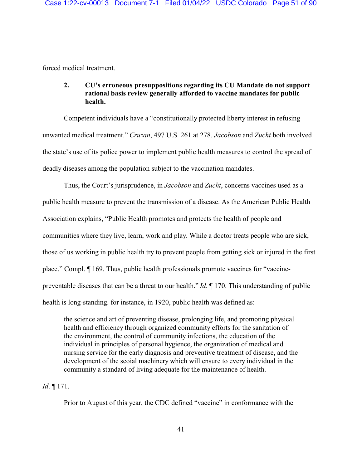forced medical treatment.

## **2. CU's erroneous presuppositions regarding its CU Mandate do not support rational basis review generally afforded to vaccine mandates for public health.**

Competent individuals have a "constitutionally protected liberty interest in refusing unwanted medical treatment." *Cruzan*, 497 U.S. 261 at 278. *Jacobson* and *Zucht* both involved the state's use of its police power to implement public health measures to control the spread of deadly diseases among the population subject to the vaccination mandates.

Thus, the Court's jurisprudence, in *Jacobson* and *Zucht*, concerns vaccines used as a public health measure to prevent the transmission of a disease. As the American Public Health Association explains, "Public Health promotes and protects the health of people and communities where they live, learn, work and play. While a doctor treats people who are sick, those of us working in public health try to prevent people from getting sick or injured in the first place." Compl. ¶ 169. Thus, public health professionals promote vaccines for "vaccinepreventable diseases that can be a threat to our health." *Id*. ¶ 170. This understanding of public health is long-standing. for instance, in 1920, public health was defined as:

the science and art of preventing disease, prolonging life, and promoting physical health and efficiency through organized community efforts for the sanitation of the environment, the control of community infections, the education of the individual in principles of personal hygience, the organization of medical and nursing service for the early diagnosis and preventive treatment of disease, and the development of the scoial machinery which will ensure to every individual in the community a standard of living adequate for the maintenance of health.

*Id*. ¶ 171.

Prior to August of this year, the CDC defined "vaccine" in conformance with the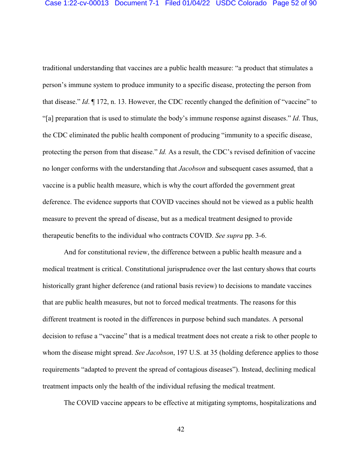traditional understanding that vaccines are a public health measure: "a product that stimulates a person's immune system to produce immunity to a specific disease, protecting the person from that disease." *Id*. ¶ 172, n. 13. However, the CDC recently changed the definition of "vaccine" to "[a] preparation that is used to stimulate the body's immune response against diseases." *Id*. Thus, the CDC eliminated the public health component of producing "immunity to a specific disease, protecting the person from that disease." *Id.* As a result, the CDC's revised definition of vaccine no longer conforms with the understanding that *Jacobson* and subsequent cases assumed, that a vaccine is a public health measure, which is why the court afforded the government great deference. The evidence supports that COVID vaccines should not be viewed as a public health measure to prevent the spread of disease, but as a medical treatment designed to provide therapeutic benefits to the individual who contracts COVID. *See supra* pp. 3-6.

And for constitutional review, the difference between a public health measure and a medical treatment is critical. Constitutional jurisprudence over the last century shows that courts historically grant higher deference (and rational basis review) to decisions to mandate vaccines that are public health measures, but not to forced medical treatments. The reasons for this different treatment is rooted in the differences in purpose behind such mandates. A personal decision to refuse a "vaccine" that is a medical treatment does not create a risk to other people to whom the disease might spread. *See Jacobson*, 197 U.S. at 35 (holding deference applies to those requirements "adapted to prevent the spread of contagious diseases"). Instead, declining medical treatment impacts only the health of the individual refusing the medical treatment.

The COVID vaccine appears to be effective at mitigating symptoms, hospitalizations and

42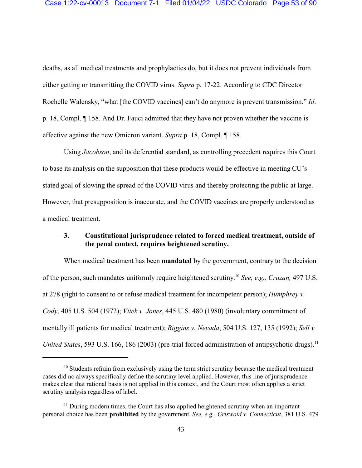deaths, as all medical treatments and prophylactics do, but it does not prevent individuals from either getting or transmitting the COVID virus. *Supra* p. 17-22. According to CDC Director Rochelle Walensky, "what [the COVID vaccines] can't do anymore is prevent transmission." *Id*. p. 18, Compl. ¶ 158. And Dr. Fauci admitted that they have not proven whether the vaccine is effective against the new Omicron variant. *Supra* p. 18, Compl. ¶ 158.

Using *Jacobson*, and its deferential standard, as controlling precedent requires this Court to base its analysis on the supposition that these products would be effective in meeting CU's stated goal of slowing the spread of the COVID virus and thereby protecting the public at large. However, that presupposition is inaccurate, and the COVID vaccines are properly understood as a medical treatment.

## **3. Constitutional jurisprudence related to forced medical treatment, outside of the penal context, requires heightened scrutiny.**

When medical treatment has been **mandated** by the government, contrary to the decision of the person, such mandates uniformly require heightened scrutiny. 10 *See, e.g., Cruzan,* 497 U.S. at 278 (right to consent to or refuse medical treatment for incompetent person); *Humphrey v. Cody*, 405 U.S. 504 (1972); *Vitek v. Jones*, 445 U.S. 480 (1980) (involuntary commitment of mentally ill patients for medical treatment); *Riggins v. Nevada*, 504 U.S. 127, 135 (1992); *Sell v. United States*, 593 U.S. 166, 186 (2003) (pre-trial forced administration of antipsychotic drugs).<sup>11</sup>

<sup>&</sup>lt;sup>10</sup> Students refrain from exclusively using the term strict scrutiny because the medical treatment cases did no always specifically define the scrutiny level applied. However, this line of jurisprudence makes clear that rational basis is not applied in this context, and the Court most often applies a strict scrutiny analysis regardless of label.

<sup>&</sup>lt;sup>11</sup> During modern times, the Court has also applied heightened scrutiny when an important personal choice has been **prohibited** by the government. *See, e.g.*, *Griswold v. Connecticut*, 381 U.S. 479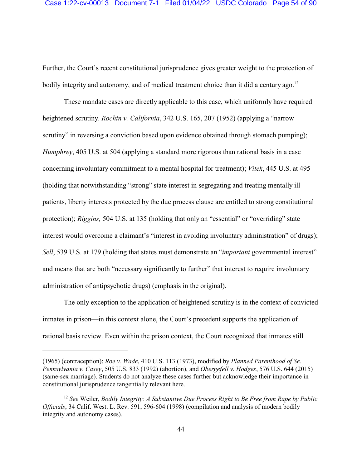Further, the Court's recent constitutional jurisprudence gives greater weight to the protection of bodily integrity and autonomy, and of medical treatment choice than it did a century ago.<sup>12</sup>

These mandate cases are directly applicable to this case, which uniformly have required heightened scrutiny. *Rochin v. California*, 342 U.S. 165, 207 (1952) (applying a "narrow scrutiny" in reversing a conviction based upon evidence obtained through stomach pumping); *Humphrey*, 405 U.S. at 504 (applying a standard more rigorous than rational basis in a case concerning involuntary commitment to a mental hospital for treatment); *Vitek*, 445 U.S. at 495 (holding that notwithstanding "strong" state interest in segregating and treating mentally ill patients, liberty interests protected by the due process clause are entitled to strong constitutional protection); *Riggins,* 504 U.S. at 135 (holding that only an "essential" or "overriding" state interest would overcome a claimant's "interest in avoiding involuntary administration" of drugs); *Sell*, 539 U.S. at 179 (holding that states must demonstrate an "*important* governmental interest" and means that are both "necessary significantly to further" that interest to require involuntary administration of antipsychotic drugs) (emphasis in the original).

The only exception to the application of heightened scrutiny is in the context of convicted inmates in prison—in this context alone, the Court's precedent supports the application of rational basis review. Even within the prison context, the Court recognized that inmates still

<sup>(1965) (</sup>contraception); *Roe v. Wade*, 410 U.S. 113 (1973), modified by *Planned Parenthood of Se. Pennsylvania v. Casey*, 505 U.S. 833 (1992) (abortion), and *Obergefell v. Hodges*, 576 U.S. 644 (2015) (same-sex marriage). Students do not analyze these cases further but acknowledge their importance in constitutional jurisprudence tangentially relevant here.

<sup>12</sup> *See* Weiler, *Bodily Integrity: A Substantive Due Process Right to Be Free from Rape by Public Officials*, 34 Calif. West. L. Rev. 591, 596-604 (1998) (compilation and analysis of modern bodily integrity and autonomy cases).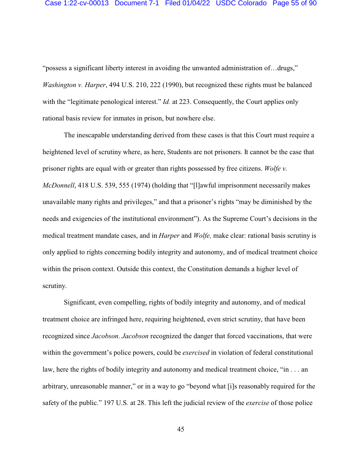"possess a significant liberty interest in avoiding the unwanted administration of…drugs," *Washington v. Harper*, 494 U.S. 210, 222 (1990), but recognized these rights must be balanced with the "legitimate penological interest." *Id.* at 223. Consequently, the Court applies only rational basis review for inmates in prison, but nowhere else.

The inescapable understanding derived from these cases is that this Court must require a heightened level of scrutiny where, as here, Students are not prisoners. It cannot be the case that prisoner rights are equal with or greater than rights possessed by free citizens. *Wolfe v. McDonnell*, 418 U.S. 539, 555 (1974) (holding that "[l]awful imprisonment necessarily makes unavailable many rights and privileges," and that a prisoner's rights "may be diminished by the needs and exigencies of the institutional environment"). As the Supreme Court's decisions in the medical treatment mandate cases, and in *Harper* and *Wolfe,* make clear: rational basis scrutiny is only applied to rights concerning bodily integrity and autonomy, and of medical treatment choice within the prison context. Outside this context, the Constitution demands a higher level of scrutiny.

Significant, even compelling, rights of bodily integrity and autonomy, and of medical treatment choice are infringed here, requiring heightened, even strict scrutiny, that have been recognized since *Jacobson*. *Jacobson* recognized the danger that forced vaccinations, that were within the government's police powers, could be *exercised* in violation of federal constitutional law, here the rights of bodily integrity and autonomy and medical treatment choice, "in . . . an arbitrary, unreasonable manner," or in a way to go "beyond what [i]s reasonably required for the safety of the public." 197 U.S*.* at 28. This left the judicial review of the *exercise* of those police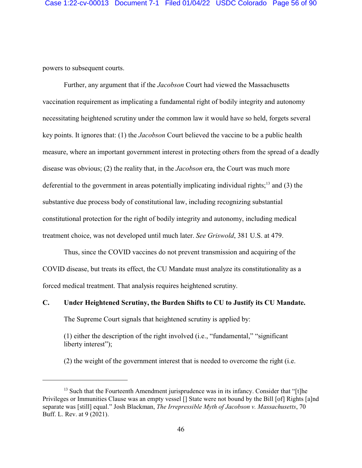powers to subsequent courts.

Further, any argument that if the *Jacobson* Court had viewed the Massachusetts vaccination requirement as implicating a fundamental right of bodily integrity and autonomy necessitating heightened scrutiny under the common law it would have so held, forgets several key points. It ignores that: (1) the *Jacobson* Court believed the vaccine to be a public health measure, where an important government interest in protecting others from the spread of a deadly disease was obvious; (2) the reality that, in the *Jacobson* era, the Court was much more deferential to the government in areas potentially implicating individual rights;<sup>13</sup> and (3) the substantive due process body of constitutional law, including recognizing substantial constitutional protection for the right of bodily integrity and autonomy, including medical treatment choice, was not developed until much later. *See Griswold*, 381 U.S. at 479.

Thus, since the COVID vaccines do not prevent transmission and acquiring of the COVID disease, but treats its effect, the CU Mandate must analyze its constitutionality as a forced medical treatment. That analysis requires heightened scrutiny.

# **C. Under Heightened Scrutiny, the Burden Shifts to CU to Justify its CU Mandate.**

The Supreme Court signals that heightened scrutiny is applied by:

(1) either the description of the right involved (i.e., "fundamental," "significant liberty interest");

(2) the weight of the government interest that is needed to overcome the right (i.e.

<sup>&</sup>lt;sup>13</sup> Such that the Fourteenth Amendment jurisprudence was in its infancy. Consider that "[t]he Privileges or Immunities Clause was an empty vessel [] State were not bound by the Bill [of] Rights [a]nd separate was [still] equal." Josh Blackman, *The Irrepressible Myth of Jacobson v. Massachusetts*, 70 Buff. L. Rev. at 9 (2021).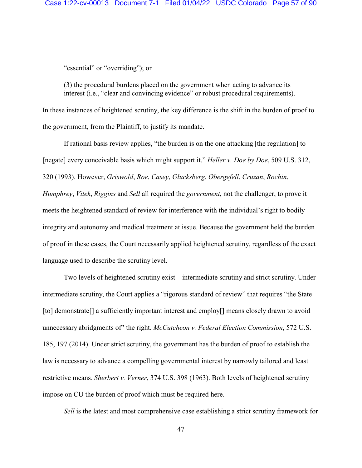"essential" or "overriding"); or

(3) the procedural burdens placed on the government when acting to advance its interest (i.e., "clear and convincing evidence" or robust procedural requirements).

In these instances of heightened scrutiny, the key difference is the shift in the burden of proof to the government, from the Plaintiff, to justify its mandate.

If rational basis review applies, "the burden is on the one attacking [the regulation] to [negate] every conceivable basis which might support it." *Heller v. Doe by Doe*, 509 U.S. 312, 320 (1993). However, *Griswold*, *Roe*, *Casey*, *Glucksberg*, *Obergefell*, *Cruzan*, *Rochin*, *Humphrey*, *Vitek*, *Riggins* and *Sell* all required the *government*, not the challenger, to prove it meets the heightened standard of review for interference with the individual's right to bodily integrity and autonomy and medical treatment at issue. Because the government held the burden of proof in these cases, the Court necessarily applied heightened scrutiny, regardless of the exact language used to describe the scrutiny level.

Two levels of heightened scrutiny exist—intermediate scrutiny and strict scrutiny. Under intermediate scrutiny, the Court applies a "rigorous standard of review" that requires "the State [to] demonstrate[] a sufficiently important interest and employ[] means closely drawn to avoid unnecessary abridgments of" the right. *McCutcheon v. Federal Election Commission*, 572 U.S. 185, 197 (2014). Under strict scrutiny, the government has the burden of proof to establish the law is necessary to advance a compelling governmental interest by narrowly tailored and least restrictive means. *Sherbert v. Verner*, 374 U.S. 398 (1963). Both levels of heightened scrutiny impose on CU the burden of proof which must be required here.

*Sell* is the latest and most comprehensive case establishing a strict scrutiny framework for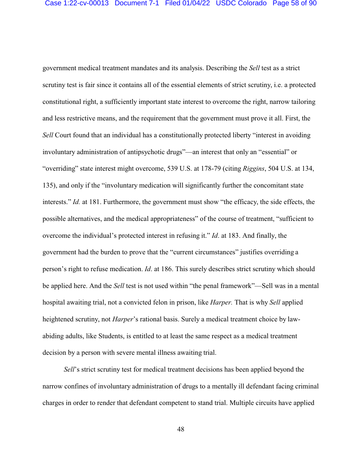government medical treatment mandates and its analysis. Describing the *Sell* test as a strict scrutiny test is fair since it contains all of the essential elements of strict scrutiny, i.e. a protected constitutional right, a sufficiently important state interest to overcome the right, narrow tailoring and less restrictive means, and the requirement that the government must prove it all. First, the *Sell* Court found that an individual has a constitutionally protected liberty "interest in avoiding involuntary administration of antipsychotic drugs"—an interest that only an "essential" or "overriding" state interest might overcome, 539 U.S. at 178-79 (citing *Riggins*, 504 U.S. at 134, 135), and only if the "involuntary medication will significantly further the concomitant state interests." *Id.* at 181. Furthermore, the government must show "the efficacy, the side effects, the possible alternatives, and the medical appropriateness" of the course of treatment, "sufficient to overcome the individual's protected interest in refusing it." *Id*. at 183. And finally, the government had the burden to prove that the "current circumstances" justifies overriding a person's right to refuse medication. *Id*. at 186. This surely describes strict scrutiny which should be applied here. And the *Sell* test is not used within "the penal framework"—Sell was in a mental hospital awaiting trial, not a convicted felon in prison, like *Harper.* That is why *Sell* applied heightened scrutiny, not *Harper*'s rational basis. Surely a medical treatment choice by lawabiding adults, like Students, is entitled to at least the same respect as a medical treatment decision by a person with severe mental illness awaiting trial.

*Sell*'s strict scrutiny test for medical treatment decisions has been applied beyond the narrow confines of involuntary administration of drugs to a mentally ill defendant facing criminal charges in order to render that defendant competent to stand trial. Multiple circuits have applied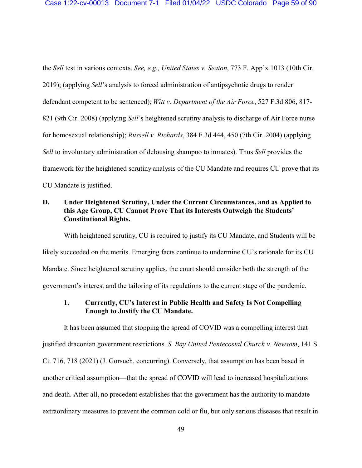the *Sell* test in various contexts. *See, e.g., United States v. Seaton*, 773 F. App'x 1013 (10th Cir. 2019); (applying *Sell*'s analysis to forced administration of antipsychotic drugs to render defendant competent to be sentenced); *Witt v. Department of the Air Force*, 527 F.3d 806, 817- 821 (9th Cir. 2008) (applying *Sell*'s heightened scrutiny analysis to discharge of Air Force nurse for homosexual relationship); *Russell v. Richards*, 384 F.3d 444, 450 (7th Cir. 2004) (applying *Sell* to involuntary administration of delousing shampoo to inmates). Thus *Sell* provides the framework for the heightened scrutiny analysis of the CU Mandate and requires CU prove that its CU Mandate is justified.

## **D. Under Heightened Scrutiny, Under the Current Circumstances, and as Applied to this Age Group, CU Cannot Prove That its Interests Outweigh the Students' Constitutional Rights.**

With heightened scrutiny, CU is required to justify its CU Mandate, and Students will be likely succeeded on the merits. Emerging facts continue to undermine CU's rationale for its CU Mandate. Since heightened scrutiny applies, the court should consider both the strength of the government's interest and the tailoring of its regulations to the current stage of the pandemic.

## **1. Currently, CU's Interest in Public Health and Safety Is Not Compelling Enough to Justify the CU Mandate.**

It has been assumed that stopping the spread of COVID was a compelling interest that justified draconian government restrictions. *S. Bay United Pentecostal Church v. Newsom*, 141 S. Ct. 716, 718 (2021) (J. Gorsuch, concurring). Conversely, that assumption has been based in another critical assumption—that the spread of COVID will lead to increased hospitalizations and death. After all, no precedent establishes that the government has the authority to mandate extraordinary measures to prevent the common cold or flu, but only serious diseases that result in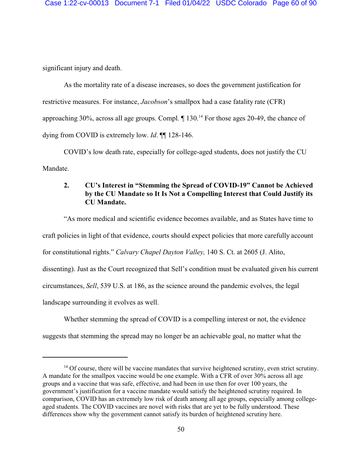significant injury and death.

As the mortality rate of a disease increases, so does the government justification for restrictive measures. For instance, *Jacobson*'s smallpox had a case fatality rate (CFR) approaching 30%, across all age groups. Compl.  $\P$  130.<sup>14</sup> For those ages 20-49, the chance of dying from COVID is extremely low. *Id*. ¶¶ 128-146.

COVID's low death rate, especially for college-aged students, does not justify the CU Mandate.

## **2. CU's Interest in "Stemming the Spread of COVID-19" Cannot be Achieved by the CU Mandate so It Is Not a Compelling Interest that Could Justify its CU Mandate.**

"As more medical and scientific evidence becomes available, and as States have time to craft policies in light of that evidence, courts should expect policies that more carefully account for constitutional rights." *Calvary Chapel Dayton Valley,* 140 S. Ct. at 2605 (J. Alito, dissenting). Just as the Court recognized that Sell's condition must be evaluated given his current circumstances, *Sell*, 539 U.S. at 186, as the science around the pandemic evolves, the legal landscape surrounding it evolves as well.

Whether stemming the spread of COVID is a compelling interest or not, the evidence

suggests that stemming the spread may no longer be an achievable goal, no matter what the

<sup>&</sup>lt;sup>14</sup> Of course, there will be vaccine mandates that survive heightened scrutiny, even strict scrutiny. A mandate for the smallpox vaccine would be one example. With a CFR of over 30% across all age groups and a vaccine that was safe, effective, and had been in use then for over 100 years, the government's justification for a vaccine mandate would satisfy the heightened scrutiny required. In comparison, COVID has an extremely low risk of death among all age groups, especially among collegeaged students. The COVID vaccines are novel with risks that are yet to be fully understood. These differences show why the government cannot satisfy its burden of heightened scrutiny here.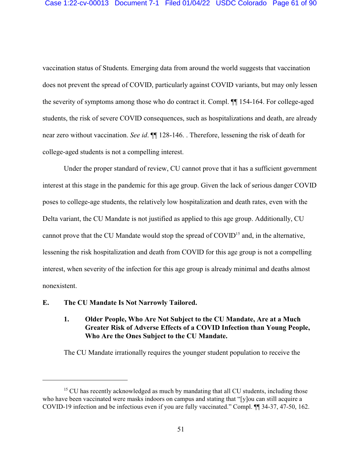vaccination status of Students. Emerging data from around the world suggests that vaccination does not prevent the spread of COVID, particularly against COVID variants, but may only lessen the severity of symptoms among those who do contract it. Compl. ¶¶ 154-164. For college-aged students, the risk of severe COVID consequences, such as hospitalizations and death, are already near zero without vaccination. *See id*. ¶¶ 128-146. . Therefore, lessening the risk of death for college-aged students is not a compelling interest.

Under the proper standard of review, CU cannot prove that it has a sufficient government interest at this stage in the pandemic for this age group. Given the lack of serious danger COVID poses to college-age students, the relatively low hospitalization and death rates, even with the Delta variant, the CU Mandate is not justified as applied to this age group. Additionally, CU cannot prove that the CU Mandate would stop the spread of COVID<sup>15</sup> and, in the alternative, lessening the risk hospitalization and death from COVID for this age group is not a compelling interest, when severity of the infection for this age group is already minimal and deaths almost nonexistent.

### **E. The CU Mandate Is Not Narrowly Tailored.**

## **1. Older People, Who Are Not Subject to the CU Mandate, Are at a Much Greater Risk of Adverse Effects of a COVID Infection than Young People, Who Are the Ones Subject to the CU Mandate.**

The CU Mandate irrationally requires the younger student population to receive the

<sup>&</sup>lt;sup>15</sup> CU has recently acknowledged as much by mandating that all CU students, including those who have been vaccinated were masks indoors on campus and stating that "[y]ou can still acquire a COVID-19 infection and be infectious even if you are fully vaccinated." Compl. ¶¶ 34-37, 47-50, 162.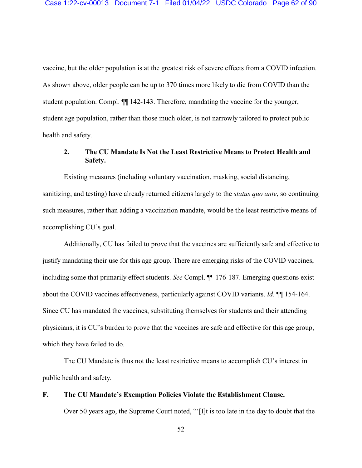vaccine, but the older population is at the greatest risk of severe effects from a COVID infection. As shown above, older people can be up to 370 times more likely to die from COVID than the student population. Compl. ¶¶ 142-143. Therefore, mandating the vaccine for the younger, student age population, rather than those much older, is not narrowly tailored to protect public health and safety.

## **2. The CU Mandate Is Not the Least Restrictive Means to Protect Health and Safety.**

Existing measures (including voluntary vaccination, masking, social distancing, sanitizing, and testing) have already returned citizens largely to the *status quo ante*, so continuing such measures, rather than adding a vaccination mandate, would be the least restrictive means of accomplishing CU's goal.

Additionally, CU has failed to prove that the vaccines are sufficiently safe and effective to justify mandating their use for this age group. There are emerging risks of the COVID vaccines, including some that primarily effect students. *See* Compl. ¶¶ 176-187. Emerging questions exist about the COVID vaccines effectiveness, particularly against COVID variants. *Id*. ¶¶ 154-164. Since CU has mandated the vaccines, substituting themselves for students and their attending physicians, it is CU's burden to prove that the vaccines are safe and effective for this age group, which they have failed to do.

The CU Mandate is thus not the least restrictive means to accomplish CU's interest in public health and safety.

#### **F. The CU Mandate's Exemption Policies Violate the Establishment Clause.**

Over 50 years ago, the Supreme Court noted, "'[I]t is too late in the day to doubt that the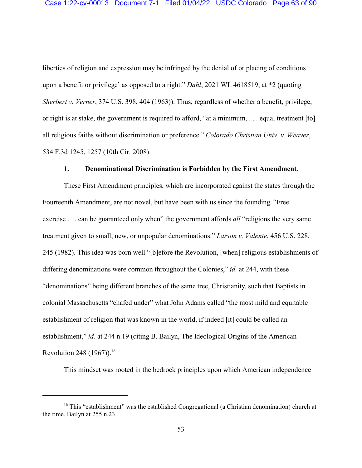liberties of religion and expression may be infringed by the denial of or placing of conditions upon a benefit or privilege' as opposed to a right." *Dahl*, 2021 WL 4618519, at \*2 (quoting *Sherbert v. Verner*, 374 U.S. 398, 404 (1963)). Thus, regardless of whether a benefit, privilege, or right is at stake, the government is required to afford, "at a minimum, . . . equal treatment [to] all religious faiths without discrimination or preference." *Colorado Christian Univ. v. Weaver*, 534 F.3d 1245, 1257 (10th Cir. 2008).

#### **1. Denominational Discrimination is Forbidden by the First Amendment**.

These First Amendment principles, which are incorporated against the states through the Fourteenth Amendment, are not novel, but have been with us since the founding. "Free exercise . . . can be guaranteed only when" the government affords *all* "religions the very same treatment given to small, new, or unpopular denominations." *Larson v. Valente*, 456 U.S. 228, 245 (1982). This idea was born well "[b]efore the Revolution, [when] religious establishments of differing denominations were common throughout the Colonies," *id.* at 244, with these "denominations" being different branches of the same tree, Christianity, such that Baptists in colonial Massachusetts "chafed under" what John Adams called "the most mild and equitable establishment of religion that was known in the world, if indeed [it] could be called an establishment," *id.* at 244 n.19 (citing B. Bailyn, The Ideological Origins of the American Revolution 248 (1967)).<sup>16</sup>

This mindset was rooted in the bedrock principles upon which American independence

<sup>&</sup>lt;sup>16</sup> This "establishment" was the established Congregational (a Christian denomination) church at the time. Bailyn at 255 n.23.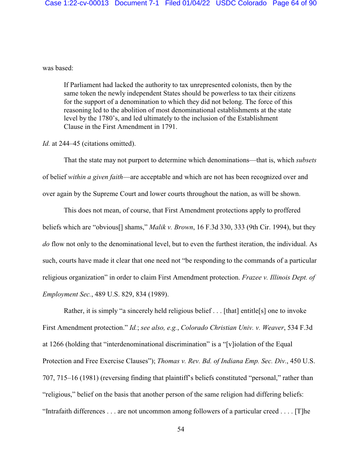### was based:

If Parliament had lacked the authority to tax unrepresented colonists, then by the same token the newly independent States should be powerless to tax their citizens for the support of a denomination to which they did not belong. The force of this reasoning led to the abolition of most denominational establishments at the state level by the 1780's, and led ultimately to the inclusion of the Establishment Clause in the First Amendment in 1791.

#### *Id.* at 244–45 (citations omitted).

That the state may not purport to determine which denominations—that is, which *subsets* of belief *within a given faith*—are acceptable and which are not has been recognized over and over again by the Supreme Court and lower courts throughout the nation, as will be shown.

This does not mean, of course, that First Amendment protections apply to proffered beliefs which are "obvious[] shams," *Malik v. Brown*, 16 F.3d 330, 333 (9th Cir. 1994), but they *do* flow not only to the denominational level, but to even the furthest iteration, the individual. As such, courts have made it clear that one need not "be responding to the commands of a particular religious organization" in order to claim First Amendment protection. *Frazee v. Illinois Dept. of Employment Sec.*, 489 U.S. 829, 834 (1989).

Rather, it is simply "a sincerely held religious belief . . . [that] entitle[s] one to invoke First Amendment protection." *Id.*; *see also, e.g.*, *Colorado Christian Univ. v. Weaver*, 534 F.3d at 1266 (holding that "interdenominational discrimination" is a "[v]iolation of the Equal Protection and Free Exercise Clauses"); *Thomas v. Rev. Bd. of Indiana Emp. Sec. Div.*, 450 U.S. 707, 715–16 (1981) (reversing finding that plaintiff's beliefs constituted "personal," rather than "religious," belief on the basis that another person of the same religion had differing beliefs: "Intrafaith differences . . . are not uncommon among followers of a particular creed . . . . [T]he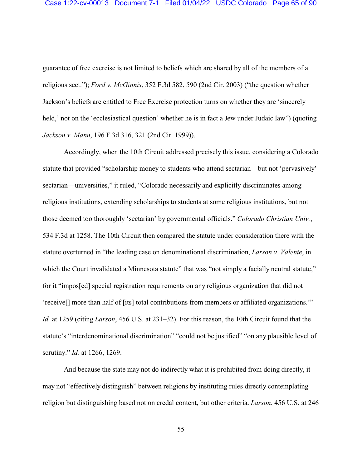guarantee of free exercise is not limited to beliefs which are shared by all of the members of a religious sect."); *Ford v. McGinnis*, 352 F.3d 582, 590 (2nd Cir. 2003) ("the question whether Jackson's beliefs are entitled to Free Exercise protection turns on whether they are 'sincerely held,' not on the 'ecclesiastical question' whether he is in fact a Jew under Judaic law") (quoting *Jackson v. Mann*, 196 F.3d 316, 321 (2nd Cir. 1999)).

Accordingly, when the 10th Circuit addressed precisely this issue, considering a Colorado statute that provided "scholarship money to students who attend sectarian—but not 'pervasively' sectarian—universities," it ruled, "Colorado necessarily and explicitly discriminates among religious institutions, extending scholarships to students at some religious institutions, but not those deemed too thoroughly 'sectarian' by governmental officials." *Colorado Christian Univ.*, 534 F.3d at 1258. The 10th Circuit then compared the statute under consideration there with the statute overturned in "the leading case on denominational discrimination, *Larson v. Valente*, in which the Court invalidated a Minnesota statute" that was "not simply a facially neutral statute," for it "impos[ed] special registration requirements on any religious organization that did not 'receive[] more than half of [its] total contributions from members or affiliated organizations.'" *Id.* at 1259 (citing *Larson*, 456 U.S. at 231–32). For this reason, the 10th Circuit found that the statute's "interdenominational discrimination" "could not be justified" "on any plausible level of scrutiny." *Id.* at 1266, 1269.

And because the state may not do indirectly what it is prohibited from doing directly, it may not "effectively distinguish" between religions by instituting rules directly contemplating religion but distinguishing based not on credal content, but other criteria. *Larson*, 456 U.S. at 246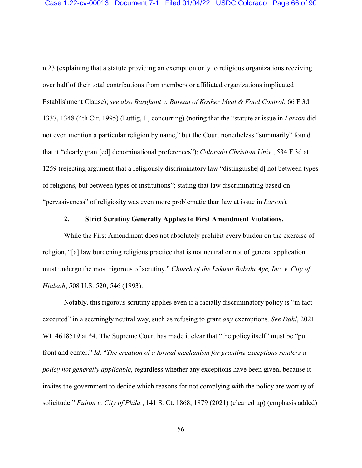n.23 (explaining that a statute providing an exemption only to religious organizations receiving over half of their total contributions from members or affiliated organizations implicated Establishment Clause); *see also Barghout v. Bureau of Kosher Meat & Food Control*, 66 F.3d 1337, 1348 (4th Cir. 1995) (Luttig, J., concurring) (noting that the "statute at issue in *Larson* did not even mention a particular religion by name," but the Court nonetheless "summarily" found that it "clearly grant[ed] denominational preferences"); *Colorado Christian Univ.*, 534 F.3d at 1259 (rejecting argument that a religiously discriminatory law "distinguishe[d] not between types of religions, but between types of institutions"; stating that law discriminating based on "pervasiveness" of religiosity was even more problematic than law at issue in *Larson*).

### **2. Strict Scrutiny Generally Applies to First Amendment Violations.**

While the First Amendment does not absolutely prohibit every burden on the exercise of religion, "[a] law burdening religious practice that is not neutral or not of general application must undergo the most rigorous of scrutiny." *Church of the Lukumi Babalu Aye, Inc. v. City of Hialeah*, 508 U.S. 520, 546 (1993).

Notably, this rigorous scrutiny applies even if a facially discriminatory policy is "in fact executed" in a seemingly neutral way, such as refusing to grant *any* exemptions. *See Dahl*, 2021 WL 4618519 at \*4. The Supreme Court has made it clear that "the policy itself" must be "put front and center." *Id.* "*The creation of a formal mechanism for granting exceptions renders a policy not generally applicable*, regardless whether any exceptions have been given, because it invites the government to decide which reasons for not complying with the policy are worthy of solicitude." *Fulton v. City of Phila.*, 141 S. Ct. 1868, 1879 (2021) (cleaned up) (emphasis added)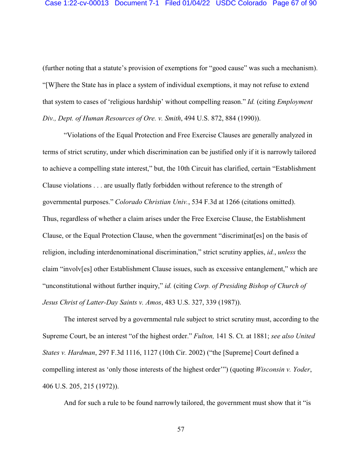(further noting that a statute's provision of exemptions for "good cause" was such a mechanism). "[W]here the State has in place a system of individual exemptions, it may not refuse to extend that system to cases of 'religious hardship' without compelling reason." *Id.* (citing *Employment Div., Dept. of Human Resources of Ore. v. Smith*, 494 U.S. 872, 884 (1990)).

"Violations of the Equal Protection and Free Exercise Clauses are generally analyzed in terms of strict scrutiny, under which discrimination can be justified only if it is narrowly tailored to achieve a compelling state interest," but, the 10th Circuit has clarified, certain "Establishment Clause violations . . . are usually flatly forbidden without reference to the strength of governmental purposes." *Colorado Christian Univ.*, 534 F.3d at 1266 (citations omitted). Thus, regardless of whether a claim arises under the Free Exercise Clause, the Establishment Clause, or the Equal Protection Clause, when the government "discriminat[es] on the basis of religion, including interdenominational discrimination," strict scrutiny applies, *id.*, *unless* the claim "involv[es] other Establishment Clause issues, such as excessive entanglement," which are "unconstitutional without further inquiry," *id.* (citing *Corp. of Presiding Bishop of Church of Jesus Christ of Latter-Day Saints v. Amos*, 483 U.S. 327, 339 (1987)).

The interest served by a governmental rule subject to strict scrutiny must, according to the Supreme Court, be an interest "of the highest order." *Fulton,* 141 S. Ct. at 1881; *see also United States v. Hardman*, 297 F.3d 1116, 1127 (10th Cir. 2002) ("the [Supreme] Court defined a compelling interest as 'only those interests of the highest order'") (quoting *Wisconsin v. Yoder*, 406 U.S. 205, 215 (1972)).

And for such a rule to be found narrowly tailored, the government must show that it "is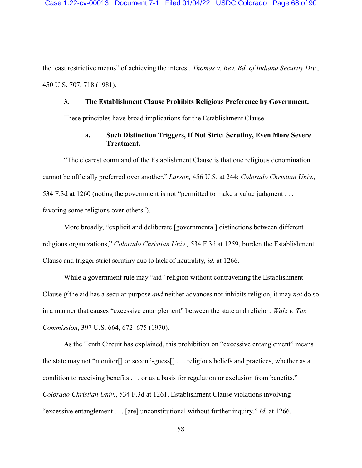the least restrictive means" of achieving the interest. *Thomas v. Rev. Bd. of Indiana Security Div.*, 450 U.S. 707, 718 (1981).

#### **3. The Establishment Clause Prohibits Religious Preference by Government.**

These principles have broad implications for the Establishment Clause.

### **a. Such Distinction Triggers, If Not Strict Scrutiny, Even More Severe Treatment.**

"The clearest command of the Establishment Clause is that one religious denomination cannot be officially preferred over another." *Larson,* 456 U.S. at 244; *Colorado Christian Univ.,* 534 F.3d at 1260 (noting the government is not "permitted to make a value judgment . . . favoring some religions over others").

More broadly, "explicit and deliberate [governmental] distinctions between different religious organizations," *Colorado Christian Univ.,* 534 F.3d at 1259, burden the Establishment Clause and trigger strict scrutiny due to lack of neutrality, *id.* at 1266.

While a government rule may "aid" religion without contravening the Establishment Clause *if* the aid has a secular purpose *and* neither advances nor inhibits religion, it may *not* do so in a manner that causes "excessive entanglement" between the state and religion. *Walz v. Tax Commission*, 397 U.S. 664, 672–675 (1970).

As the Tenth Circuit has explained, this prohibition on "excessive entanglement" means the state may not "monitor[] or second-guess[] . . . religious beliefs and practices, whether as a condition to receiving benefits . . . or as a basis for regulation or exclusion from benefits." *Colorado Christian Univ.*, 534 F.3d at 1261. Establishment Clause violations involving "excessive entanglement . . . [are] unconstitutional without further inquiry." *Id.* at 1266.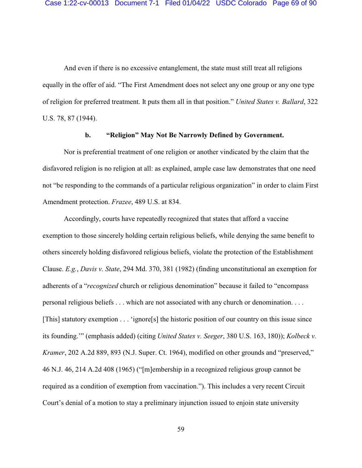And even if there is no excessive entanglement, the state must still treat all religions equally in the offer of aid. "The First Amendment does not select any one group or any one type of religion for preferred treatment. It puts them all in that position." *United States v. Ballard*, 322 U.S. 78, 87 (1944).

### **b. "Religion" May Not Be Narrowly Defined by Government.**

Nor is preferential treatment of one religion or another vindicated by the claim that the disfavored religion is no religion at all: as explained, ample case law demonstrates that one need not "be responding to the commands of a particular religious organization" in order to claim First Amendment protection. *Frazee*, 489 U.S. at 834.

Accordingly, courts have repeatedly recognized that states that afford a vaccine exemption to those sincerely holding certain religious beliefs, while denying the same benefit to others sincerely holding disfavored religious beliefs, violate the protection of the Establishment Clause. *E.g.*, *Davis v. State*, 294 Md. 370, 381 (1982) (finding unconstitutional an exemption for adherents of a "*recognized* church or religious denomination" because it failed to "encompass personal religious beliefs . . . which are not associated with any church or denomination. . . . [This] statutory exemption . . . 'ignore[s] the historic position of our country on this issue since its founding.'" (emphasis added) (citing *United States v. Seeger*, 380 U.S. 163, 180)); *Kolbeck v. Kramer*, 202 A.2d 889, 893 (N.J. Super. Ct. 1964), modified on other grounds and "preserved," 46 N.J. 46, 214 A.2d 408 (1965) ("[m]embership in a recognized religious group cannot be required as a condition of exemption from vaccination."). This includes a very recent Circuit Court's denial of a motion to stay a preliminary injunction issued to enjoin state university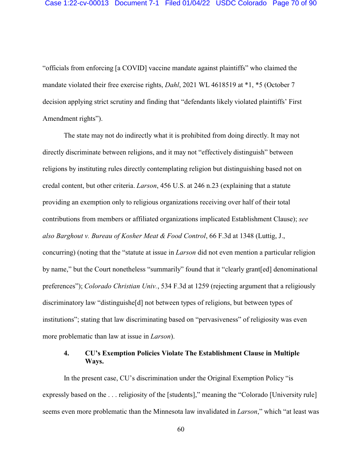"officials from enforcing [a COVID] vaccine mandate against plaintiffs" who claimed the mandate violated their free exercise rights, *Dahl*, 2021 WL 4618519 at \*1, \*5 (October 7 decision applying strict scrutiny and finding that "defendants likely violated plaintiffs' First Amendment rights").

The state may not do indirectly what it is prohibited from doing directly. It may not directly discriminate between religions, and it may not "effectively distinguish" between religions by instituting rules directly contemplating religion but distinguishing based not on credal content, but other criteria. *Larson*, 456 U.S. at 246 n.23 (explaining that a statute providing an exemption only to religious organizations receiving over half of their total contributions from members or affiliated organizations implicated Establishment Clause); *see also Barghout v. Bureau of Kosher Meat & Food Control*, 66 F.3d at 1348 (Luttig, J., concurring) (noting that the "statute at issue in *Larson* did not even mention a particular religion by name," but the Court nonetheless "summarily" found that it "clearly grant[ed] denominational preferences"); *Colorado Christian Univ.*, 534 F.3d at 1259 (rejecting argument that a religiously discriminatory law "distinguishe[d] not between types of religions, but between types of institutions"; stating that law discriminating based on "pervasiveness" of religiosity was even more problematic than law at issue in *Larson*).

## **4. CU's Exemption Policies Violate The Establishment Clause in Multiple Ways.**

In the present case, CU's discrimination under the Original Exemption Policy "is expressly based on the . . . religiosity of the [students]," meaning the "Colorado [University rule] seems even more problematic than the Minnesota law invalidated in *Larson*," which "at least was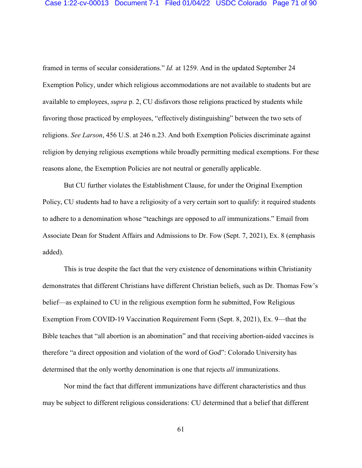framed in terms of secular considerations." *Id.* at 1259. And in the updated September 24 Exemption Policy, under which religious accommodations are not available to students but are available to employees, *supra* p. 2, CU disfavors those religions practiced by students while favoring those practiced by employees, "effectively distinguishing" between the two sets of religions. *See Larson*, 456 U.S. at 246 n.23. And both Exemption Policies discriminate against religion by denying religious exemptions while broadly permitting medical exemptions. For these reasons alone, the Exemption Policies are not neutral or generally applicable.

But CU further violates the Establishment Clause, for under the Original Exemption Policy, CU students had to have a religiosity of a very certain sort to qualify: it required students to adhere to a denomination whose "teachings are opposed to *all* immunizations." Email from Associate Dean for Student Affairs and Admissions to Dr. Fow (Sept. 7, 2021), Ex. 8 (emphasis added).

This is true despite the fact that the very existence of denominations within Christianity demonstrates that different Christians have different Christian beliefs, such as Dr. Thomas Fow's belief—as explained to CU in the religious exemption form he submitted, Fow Religious Exemption From COVID-19 Vaccination Requirement Form (Sept. 8, 2021), Ex. 9—that the Bible teaches that "all abortion is an abomination" and that receiving abortion-aided vaccines is therefore "a direct opposition and violation of the word of God": Colorado University has determined that the only worthy denomination is one that rejects *all* immunizations.

Nor mind the fact that different immunizations have different characteristics and thus may be subject to different religious considerations: CU determined that a belief that different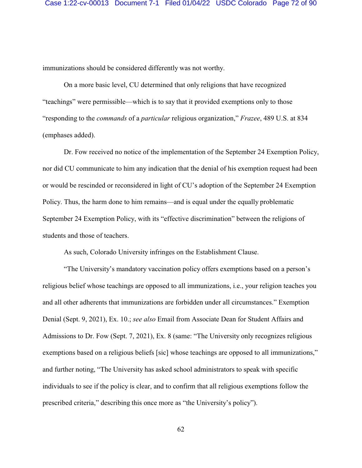immunizations should be considered differently was not worthy.

On a more basic level, CU determined that only religions that have recognized "teachings" were permissible—which is to say that it provided exemptions only to those "responding to the *commands* of a *particular* religious organization," *Frazee*, 489 U.S. at 834 (emphases added).

Dr. Fow received no notice of the implementation of the September 24 Exemption Policy, nor did CU communicate to him any indication that the denial of his exemption request had been or would be rescinded or reconsidered in light of CU's adoption of the September 24 Exemption Policy. Thus, the harm done to him remains—and is equal under the equally problematic September 24 Exemption Policy, with its "effective discrimination" between the religions of students and those of teachers.

As such, Colorado University infringes on the Establishment Clause.

"The University's mandatory vaccination policy offers exemptions based on a person's religious belief whose teachings are opposed to all immunizations, i.e., your religion teaches you and all other adherents that immunizations are forbidden under all circumstances." Exemption Denial (Sept. 9, 2021), Ex. 10.; *see also* Email from Associate Dean for Student Affairs and Admissions to Dr. Fow (Sept. 7, 2021), Ex. 8 (same: "The University only recognizes religious exemptions based on a religious beliefs [sic] whose teachings are opposed to all immunizations," and further noting, "The University has asked school administrators to speak with specific individuals to see if the policy is clear, and to confirm that all religious exemptions follow the prescribed criteria," describing this once more as "the University's policy").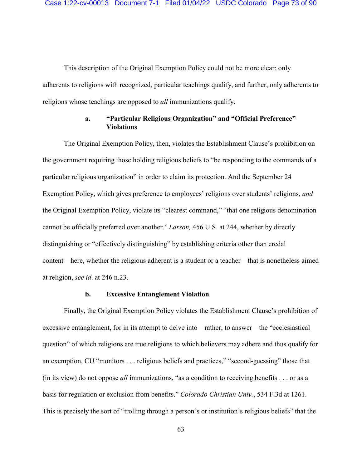This description of the Original Exemption Policy could not be more clear: only adherents to religions with recognized, particular teachings qualify, and further, only adherents to religions whose teachings are opposed to *all* immunizations qualify.

# **a. "Particular Religious Organization" and "Official Preference" Violations**

The Original Exemption Policy, then, violates the Establishment Clause's prohibition on the government requiring those holding religious beliefs to "be responding to the commands of a particular religious organization" in order to claim its protection. And the September 24 Exemption Policy, which gives preference to employees' religions over students' religions, *and* the Original Exemption Policy, violate its "clearest command," "that one religious denomination cannot be officially preferred over another." *Larson,* 456 U.S. at 244, whether by directly distinguishing or "effectively distinguishing" by establishing criteria other than credal content—here, whether the religious adherent is a student or a teacher—that is nonetheless aimed at religion, *see id*. at 246 n.23.

#### **b. Excessive Entanglement Violation**

Finally, the Original Exemption Policy violates the Establishment Clause's prohibition of excessive entanglement, for in its attempt to delve into—rather, to answer—the "ecclesiastical question" of which religions are true religions to which believers may adhere and thus qualify for an exemption, CU "monitors . . . religious beliefs and practices," "second-guessing" those that (in its view) do not oppose *all* immunizations, "as a condition to receiving benefits . . . or as a basis for regulation or exclusion from benefits." *Colorado Christian Univ.*, 534 F.3d at 1261. This is precisely the sort of "trolling through a person's or institution's religious beliefs" that the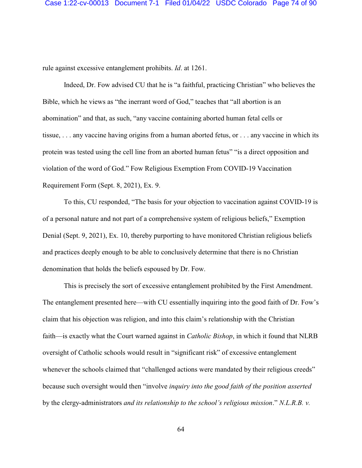rule against excessive entanglement prohibits. *Id*. at 1261.

Indeed, Dr. Fow advised CU that he is "a faithful, practicing Christian" who believes the Bible, which he views as "the inerrant word of God," teaches that "all abortion is an abomination" and that, as such, "any vaccine containing aborted human fetal cells or tissue, . . . any vaccine having origins from a human aborted fetus, or . . . any vaccine in which its protein was tested using the cell line from an aborted human fetus" "is a direct opposition and violation of the word of God." Fow Religious Exemption From COVID-19 Vaccination Requirement Form (Sept. 8, 2021), Ex. 9.

To this, CU responded, "The basis for your objection to vaccination against COVID-19 is of a personal nature and not part of a comprehensive system of religious beliefs," Exemption Denial (Sept. 9, 2021), Ex. 10, thereby purporting to have monitored Christian religious beliefs and practices deeply enough to be able to conclusively determine that there is no Christian denomination that holds the beliefs espoused by Dr. Fow.

This is precisely the sort of excessive entanglement prohibited by the First Amendment. The entanglement presented here—with CU essentially inquiring into the good faith of Dr. Fow's claim that his objection was religion, and into this claim's relationship with the Christian faith—is exactly what the Court warned against in *Catholic Bishop*, in which it found that NLRB oversight of Catholic schools would result in "significant risk" of excessive entanglement whenever the schools claimed that "challenged actions were mandated by their religious creeds" because such oversight would then "involve *inquiry into the good faith of the position asserted* by the clergy-administrators *and its relationship to the school's religious mission*." *N.L.R.B. v.*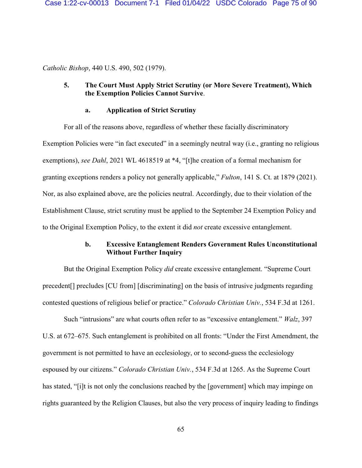*Catholic Bishop*, 440 U.S. 490, 502 (1979).

# **5. The Court Must Apply Strict Scrutiny (or More Severe Treatment), Which the Exemption Policies Cannot Survive**.

### **a. Application of Strict Scrutiny**

For all of the reasons above, regardless of whether these facially discriminatory Exemption Policies were "in fact executed" in a seemingly neutral way (i.e., granting no religious exemptions), *see Dahl*, 2021 WL 4618519 at \*4, "[t]he creation of a formal mechanism for granting exceptions renders a policy not generally applicable," *Fulton*, 141 S. Ct. at 1879 (2021). Nor, as also explained above, are the policies neutral. Accordingly, due to their violation of the Establishment Clause, strict scrutiny must be applied to the September 24 Exemption Policy and to the Original Exemption Policy, to the extent it did *not* create excessive entanglement.

# **b. Excessive Entanglement Renders Government Rules Unconstitutional Without Further Inquiry**

But the Original Exemption Policy *did* create excessive entanglement. "Supreme Court precedent[] precludes [CU from] [discriminating] on the basis of intrusive judgments regarding contested questions of religious belief or practice." *Colorado Christian Univ.*, 534 F.3d at 1261.

Such "intrusions" are what courts often refer to as "excessive entanglement." *Walz*, 397 U.S. at 672–675. Such entanglement is prohibited on all fronts: "Under the First Amendment, the government is not permitted to have an ecclesiology, or to second-guess the ecclesiology espoused by our citizens." *Colorado Christian Univ.*, 534 F.3d at 1265. As the Supreme Court has stated, "[i]t is not only the conclusions reached by the [government] which may impinge on rights guaranteed by the Religion Clauses, but also the very process of inquiry leading to findings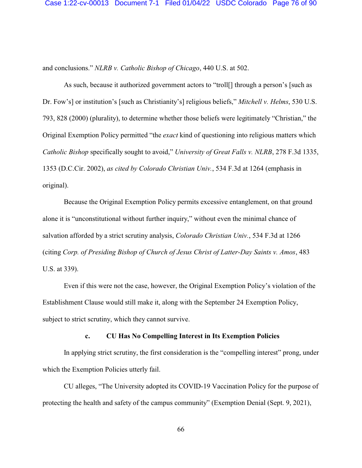and conclusions." *NLRB v. Catholic Bishop of Chicago*, 440 U.S. at 502.

As such, because it authorized government actors to "troll[] through a person's [such as Dr. Fow's] or institution's [such as Christianity's] religious beliefs," *Mitchell v. Helms*, 530 U.S. 793, 828 (2000) (plurality), to determine whether those beliefs were legitimately "Christian," the Original Exemption Policy permitted "the *exact* kind of questioning into religious matters which *Catholic Bishop* specifically sought to avoid," *University of Great Falls v. NLRB*, 278 F.3d 1335, 1353 (D.C.Cir. 2002), *as cited by Colorado Christian Univ.*, 534 F.3d at 1264 (emphasis in original).

Because the Original Exemption Policy permits excessive entanglement, on that ground alone it is "unconstitutional without further inquiry," without even the minimal chance of salvation afforded by a strict scrutiny analysis, *Colorado Christian Univ.*, 534 F.3d at 1266 (citing *Corp. of Presiding Bishop of Church of Jesus Christ of Latter-Day Saints v. Amos*, 483 U.S. at 339).

Even if this were not the case, however, the Original Exemption Policy's violation of the Establishment Clause would still make it, along with the September 24 Exemption Policy, subject to strict scrutiny, which they cannot survive.

### **c. CU Has No Compelling Interest in Its Exemption Policies**

In applying strict scrutiny, the first consideration is the "compelling interest" prong, under which the Exemption Policies utterly fail.

CU alleges, "The University adopted its COVID-19 Vaccination Policy for the purpose of protecting the health and safety of the campus community" (Exemption Denial (Sept. 9, 2021),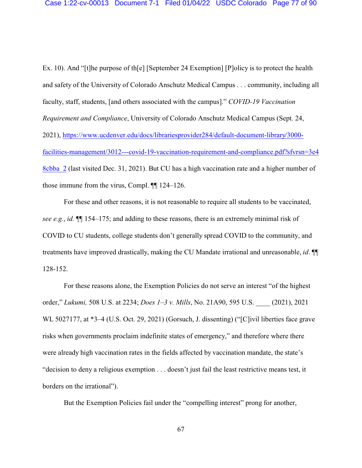Ex. 10). And "[t]he purpose of th[e] [September 24 Exemption] [P]olicy is to protect the health and safety of the University of Colorado Anschutz Medical Campus . . . community, including all faculty, staff, students, [and others associated with the campus]." *COVID-19 Vaccination Requirement and Compliance*, University of Colorado Anschutz Medical Campus (Sept. 24, 2021), [https://www.ucdenver.edu/docs/librariesprovider284/default-document-library/3000](https://www.ucdenver.edu/docs/librariesprovider284/default-document-library/3000-facilities-management/3012---covid-19-vaccination-requirement-and-compliance.pdf?sfvrsn=3e48cbba_2) [facilities-management/3012---covid-19-vaccination-requirement-and-compliance.pdf?sfvrsn=3e4](https://www.ucdenver.edu/docs/librariesprovider284/default-document-library/3000-facilities-management/3012---covid-19-vaccination-requirement-and-compliance.pdf?sfvrsn=3e48cbba_2) [8cbba\\_2](https://www.ucdenver.edu/docs/librariesprovider284/default-document-library/3000-facilities-management/3012---covid-19-vaccination-requirement-and-compliance.pdf?sfvrsn=3e48cbba_2) (last visited Dec. 31, 2021). But CU has a high vaccination rate and a higher number of those immune from the virus, Compl. ¶¶ 124–126.

For these and other reasons, it is not reasonable to require all students to be vaccinated, *see e.g.*, *id.* ¶¶ 154–175; and adding to these reasons, there is an extremely minimal risk of COVID to CU students, college students don't generally spread COVID to the community, and treatments have improved drastically, making the CU Mandate irrational and unreasonable, *id*. ¶¶ 128-152.

For these reasons alone, the Exemption Policies do not serve an interest "of the highest order," *Lukumi,* 508 U.S. at 2234; *Does 1–3 v. Mills*, No. 21A90, 595 U.S. \_\_\_\_ (2021), 2021 WL 5027177, at \*3–4 (U.S. Oct. 29, 2021) (Gorsuch, J. dissenting) ("[C]ivil liberties face grave risks when governments proclaim indefinite states of emergency," and therefore where there were already high vaccination rates in the fields affected by vaccination mandate, the state's "decision to deny a religious exemption . . . doesn't just fail the least restrictive means test, it borders on the irrational").

But the Exemption Policies fail under the "compelling interest" prong for another,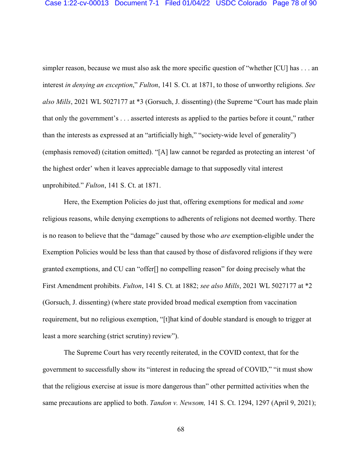#### Case 1:22-cv-00013 Document 7-1 Filed 01/04/22 USDC Colorado Page 78 of 90

simpler reason, because we must also ask the more specific question of "whether [CU] has . . . an interest *in denying an exception*," *Fulton*, 141 S. Ct. at 1871, to those of unworthy religions. *See also Mills*, 2021 WL 5027177 at \*3 (Gorsuch, J. dissenting) (the Supreme "Court has made plain that only the government's . . . asserted interests as applied to the parties before it count," rather than the interests as expressed at an "artificially high," "society-wide level of generality") (emphasis removed) (citation omitted). "[A] law cannot be regarded as protecting an interest 'of the highest order' when it leaves appreciable damage to that supposedly vital interest unprohibited." *Fulton*, 141 S. Ct. at 1871.

Here, the Exemption Policies do just that, offering exemptions for medical and *some* religious reasons, while denying exemptions to adherents of religions not deemed worthy. There is no reason to believe that the "damage" caused by those who *are* exemption-eligible under the Exemption Policies would be less than that caused by those of disfavored religions if they were granted exemptions, and CU can "offer[] no compelling reason" for doing precisely what the First Amendment prohibits. *Fulton*, 141 S. Ct. at 1882; *see also Mills*, 2021 WL 5027177 at \*2 (Gorsuch, J. dissenting) (where state provided broad medical exemption from vaccination requirement, but no religious exemption, "[t]hat kind of double standard is enough to trigger at least a more searching (strict scrutiny) review").

The Supreme Court has very recently reiterated, in the COVID context, that for the government to successfully show its "interest in reducing the spread of COVID," "it must show that the religious exercise at issue is more dangerous than" other permitted activities when the same precautions are applied to both. *Tandon v. Newsom,* 141 S. Ct. 1294, 1297 (April 9, 2021);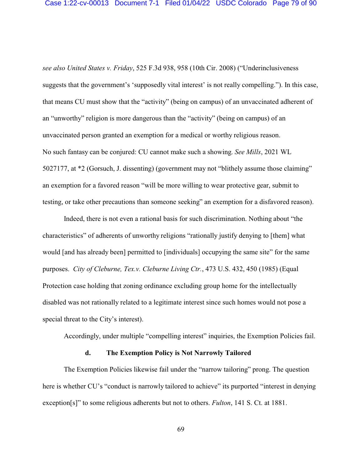*see also United States v. Friday*, 525 F.3d 938, 958 (10th Cir. 2008) ("Underinclusiveness suggests that the government's 'supposedly vital interest' is not really compelling."). In this case, that means CU must show that the "activity" (being on campus) of an unvaccinated adherent of an "unworthy" religion is more dangerous than the "activity" (being on campus) of an unvaccinated person granted an exemption for a medical or worthy religious reason. No such fantasy can be conjured: CU cannot make such a showing. *See Mills*, 2021 WL 5027177, at \*2 (Gorsuch, J. dissenting) (government may not "blithely assume those claiming" an exemption for a favored reason "will be more willing to wear protective gear, submit to testing, or take other precautions than someone seeking" an exemption for a disfavored reason).

Indeed, there is not even a rational basis for such discrimination. Nothing about "the characteristics" of adherents of unworthy religions "rationally justify denying to [them] what would [and has already been] permitted to [individuals] occupying the same site" for the same purposes. *City of Cleburne, Tex.v. Cleburne Living Ctr.*, 473 U.S. 432, 450 (1985) (Equal Protection case holding that zoning ordinance excluding group home for the intellectually disabled was not rationally related to a legitimate interest since such homes would not pose a special threat to the City's interest).

Accordingly, under multiple "compelling interest" inquiries, the Exemption Policies fail.

#### **d. The Exemption Policy is Not Narrowly Tailored**

The Exemption Policies likewise fail under the "narrow tailoring" prong. The question here is whether CU's "conduct is narrowly tailored to achieve" its purported "interest in denying exception[s]" to some religious adherents but not to others. *Fulton*, 141 S. Ct. at 1881.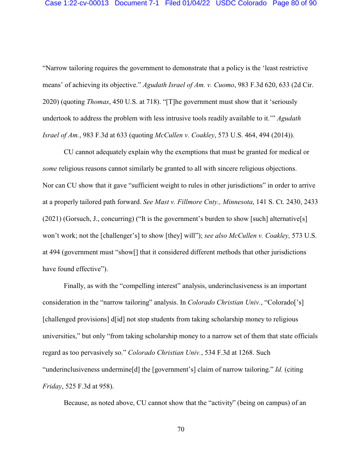"Narrow tailoring requires the government to demonstrate that a policy is the 'least restrictive means' of achieving its objective." *Agudath Israel of Am. v. Cuomo*, 983 F.3d 620, 633 (2d Cir. 2020) (quoting *Thomas*, 450 U.S. at 718). "[T]he government must show that it 'seriously undertook to address the problem with less intrusive tools readily available to it.'" *Agudath Israel of Am.*, 983 F.3d at 633 (quoting *McCullen v. Coakley*, 573 U.S. 464, 494 (2014)).

CU cannot adequately explain why the exemptions that must be granted for medical or *some* religious reasons cannot similarly be granted to all with sincere religious objections. Nor can CU show that it gave "sufficient weight to rules in other jurisdictions" in order to arrive at a properly tailored path forward. *See Mast v. Fillmore Cnty., Minnesota*, 141 S. Ct. 2430, 2433 (2021) (Gorsuch, J., concurring) ("It is the government's burden to show [such] alternative[s] won't work; not the [challenger's] to show [they] will"); *see also McCullen v. Coakley,* 573 U.S. at 494 (government must "show[] that it considered different methods that other jurisdictions have found effective").

Finally, as with the "compelling interest" analysis, underinclusiveness is an important consideration in the "narrow tailoring" analysis. In *Colorado Christian Univ.*, "Colorado['s] [challenged provisions] d[id] not stop students from taking scholarship money to religious universities," but only "from taking scholarship money to a narrow set of them that state officials regard as too pervasively so." *Colorado Christian Univ.*, 534 F.3d at 1268. Such "underinclusiveness undermine[d] the [government's] claim of narrow tailoring." *Id.* (citing *Friday*, 525 F.3d at 958).

Because, as noted above, CU cannot show that the "activity" (being on campus) of an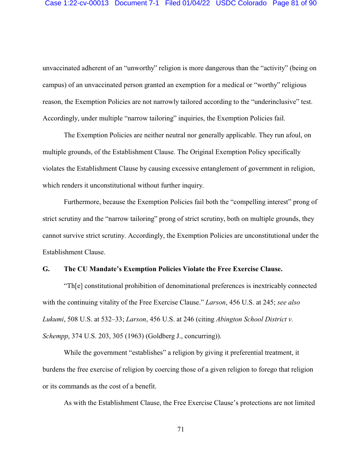unvaccinated adherent of an "unworthy" religion is more dangerous than the "activity" (being on campus) of an unvaccinated person granted an exemption for a medical or "worthy" religious reason, the Exemption Policies are not narrowly tailored according to the "underinclusive" test. Accordingly, under multiple "narrow tailoring" inquiries, the Exemption Policies fail.

The Exemption Policies are neither neutral nor generally applicable. They run afoul, on multiple grounds, of the Establishment Clause. The Original Exemption Policy specifically violates the Establishment Clause by causing excessive entanglement of government in religion, which renders it unconstitutional without further inquiry.

Furthermore, because the Exemption Policies fail both the "compelling interest" prong of strict scrutiny and the "narrow tailoring" prong of strict scrutiny, both on multiple grounds, they cannot survive strict scrutiny. Accordingly, the Exemption Policies are unconstitutional under the Establishment Clause.

### **G. The CU Mandate's Exemption Policies Violate the Free Exercise Clause.**

"Th[e] constitutional prohibition of denominational preferences is inextricably connected with the continuing vitality of the Free Exercise Clause." *Larson*, 456 U.S. at 245; *see also Lukumi*, 508 U.S. at 532–33; *Larson*, 456 U.S. at 246 (citing *Abington School District v. Schempp*, 374 U.S. 203, 305 (1963) (Goldberg J., concurring)).

While the government "establishes" a religion by giving it preferential treatment, it burdens the free exercise of religion by coercing those of a given religion to forego that religion or its commands as the cost of a benefit.

As with the Establishment Clause, the Free Exercise Clause's protections are not limited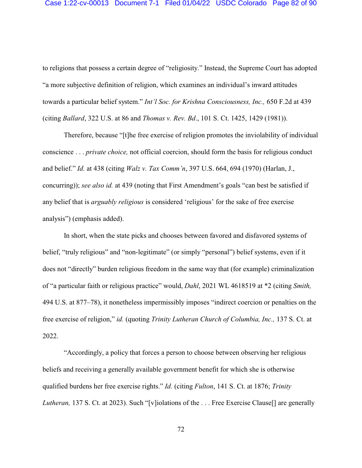to religions that possess a certain degree of "religiosity." Instead, the Supreme Court has adopted "a more subjective definition of religion, which examines an individual's inward attitudes towards a particular belief system." *Int'l Soc. for Krishna Consciousness, Inc.,* 650 F.2d at 439 (citing *Ballard*, 322 U.S. at 86 and *Thomas v. Rev. Bd*., 101 S. Ct. 1425, 1429 (1981)).

Therefore, because "[t]he free exercise of religion promotes the inviolability of individual conscience . . . *private choice,* not official coercion, should form the basis for religious conduct and belief." *Id.* at 438 (citing *Walz v. Tax Comm'n*, 397 U.S. 664, 694 (1970) (Harlan, J., concurring)); *see also id.* at 439 (noting that First Amendment's goals "can best be satisfied if any belief that is *arguably religious* is considered 'religious' for the sake of free exercise analysis") (emphasis added).

In short, when the state picks and chooses between favored and disfavored systems of belief, "truly religious" and "non-legitimate" (or simply "personal") belief systems, even if it does not "directly" burden religious freedom in the same way that (for example) criminalization of "a particular faith or religious practice" would, *Dahl*, 2021 WL 4618519 at \*2 (citing *Smith,* 494 U.S. at 877–78), it nonetheless impermissibly imposes "indirect coercion or penalties on the free exercise of religion," *id.* (quoting *Trinity Lutheran Church of Columbia, Inc.,* 137 S. Ct. at 2022.

"Accordingly, a policy that forces a person to choose between observing her religious beliefs and receiving a generally available government benefit for which she is otherwise qualified burdens her free exercise rights." *Id.* (citing *Fulton*, 141 S. Ct. at 1876; *Trinity Lutheran,* 137 S. Ct. at 2023). Such "[v]iolations of the ... Free Exercise Clause[] are generally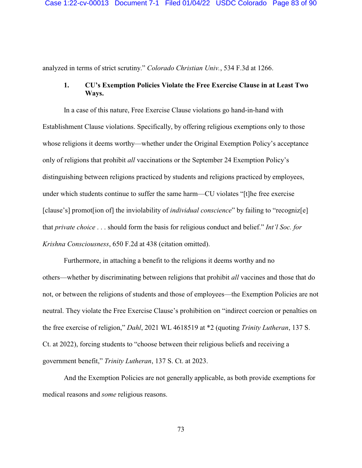analyzed in terms of strict scrutiny." *Colorado Christian Univ.*, 534 F.3d at 1266.

## **1. CU's Exemption Policies Violate the Free Exercise Clause in at Least Two Ways.**

In a case of this nature, Free Exercise Clause violations go hand-in-hand with Establishment Clause violations. Specifically, by offering religious exemptions only to those whose religions it deems worthy—whether under the Original Exemption Policy's acceptance only of religions that prohibit *all* vaccinations or the September 24 Exemption Policy's distinguishing between religions practiced by students and religions practiced by employees, under which students continue to suffer the same harm—CU violates "[t]he free exercise [clause's] promot[ion of] the inviolability of *individual conscience*" by failing to "recogniz[e] that *private choice* . . . should form the basis for religious conduct and belief." *Int'l Soc. for Krishna Consciousness*, 650 F.2d at 438 (citation omitted).

Furthermore, in attaching a benefit to the religions it deems worthy and no others—whether by discriminating between religions that prohibit *all* vaccines and those that do not, or between the religions of students and those of employees—the Exemption Policies are not neutral. They violate the Free Exercise Clause's prohibition on "indirect coercion or penalties on the free exercise of religion," *Dahl*, 2021 WL 4618519 at \*2 (quoting *Trinity Lutheran*, 137 S. Ct. at 2022), forcing students to "choose between their religious beliefs and receiving a government benefit," *Trinity Lutheran*, 137 S. Ct. at 2023.

And the Exemption Policies are not generally applicable, as both provide exemptions for medical reasons and *some* religious reasons.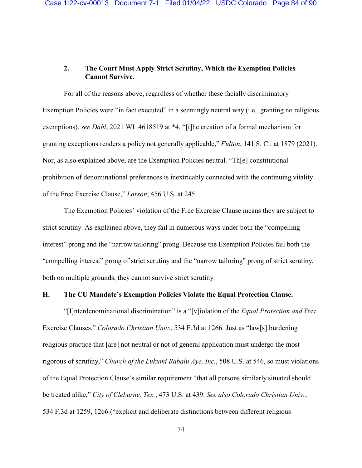# **2. The Court Must Apply Strict Scrutiny, Which the Exemption Policies Cannot Survive**.

For all of the reasons above, regardless of whether these facially discriminatory Exemption Policies were "in fact executed" in a seemingly neutral way (i.e., granting no religious exemptions), *see Dahl*, 2021 WL 4618519 at \*4, "[t]he creation of a formal mechanism for granting exceptions renders a policy not generally applicable," *Fulton*, 141 S. Ct. at 1879 (2021). Nor, as also explained above, are the Exemption Policies neutral. "Th[e] constitutional prohibition of denominational preferences is inextricably connected with the continuing vitality of the Free Exercise Clause," *Larson*, 456 U.S. at 245.

The Exemption Policies' violation of the Free Exercise Clause means they are subject to strict scrutiny. As explained above, they fail in numerous ways under both the "compelling interest" prong and the "narrow tailoring" prong. Because the Exemption Policies fail both the "compelling interest" prong of strict scrutiny and the "narrow tailoring" prong of strict scrutiny, both on multiple grounds, they cannot survive strict scrutiny.

#### **H. The CU Mandate's Exemption Policies Violate the Equal Protection Clause.**

"[I]nterdenominational discrimination" is a "[v]iolation of the *Equal Protection and* Free Exercise Clauses." *Colorado Christian Univ.*, 534 F.3d at 1266. Just as "law[s] burdening religious practice that [are] not neutral or not of general application must undergo the most rigorous of scrutiny," *Church of the Lukumi Babalu Aye, Inc.*, 508 U.S. at 546, so must violations of the Equal Protection Clause's similar requirement "that all persons similarly situated should be treated alike," *City of Cleburne, Tex.*, 473 U.S. at 439. *See also Colorado Christian Univ.*, 534 F.3d at 1259, 1266 ("explicit and deliberate distinctions between different religious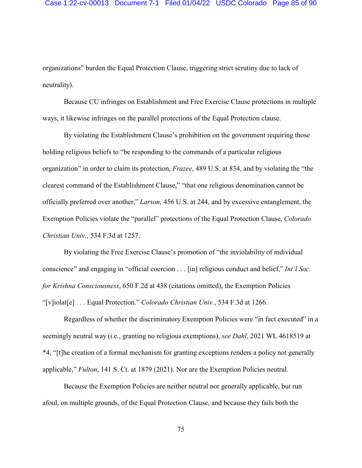organizations" burden the Equal Protection Clause, triggering strict scrutiny due to lack of neutrality).

Because CU infringes on Establishment and Free Exercise Clause protections in multiple ways, it likewise infringes on the parallel protections of the Equal Protection clause.

By violating the Establishment Clause's prohibition on the government requiring those holding religious beliefs to "be responding to the commands of a particular religious organization" in order to claim its protection, *Frazee*, 489 U.S. at 834, and by violating the "the clearest command of the Establishment Clause," "that one religious denomination cannot be officially preferred over another," *Larson,* 456 U.S. at 244, and by excessive entanglement, the Exemption Policies violate the "parallel" protections of the Equal Protection Clause, *Colorado Christian Univ.*, 534 F.3d at 1257.

By violating the Free Exercise Clause's promotion of "the inviolability of individual conscience" and engaging in "official coercion . . . [in] religious conduct and belief," *Int'l Soc. for Krishna Consciousness*, 650 F.2d at 438 (citations omitted), the Exemption Policies "[v]iolat[e] . . . Equal Protection." *Colorado Christian Univ.*, 534 F.3d at 1266.

Regardless of whether the discriminatory Exemption Policies were "in fact executed" in a seemingly neutral way (i.e., granting no religious exemptions), *see Dahl*, 2021 WL 4618519 at \*4, "[t]he creation of a formal mechanism for granting exceptions renders a policy not generally applicable," *Fulton*, 141 S. Ct. at 1879 (2021). Nor are the Exemption Policies neutral.

Because the Exemption Policies are neither neutral nor generally applicable, but run afoul, on multiple grounds, of the Equal Protection Clause, and because they fails both the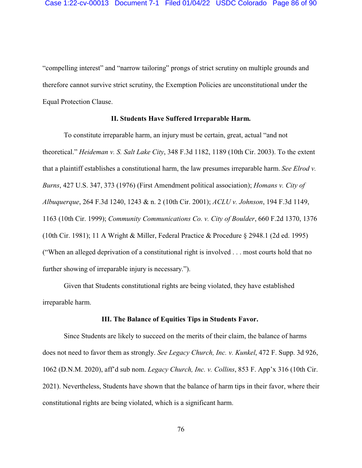"compelling interest" and "narrow tailoring" prongs of strict scrutiny on multiple grounds and therefore cannot survive strict scrutiny, the Exemption Policies are unconstitutional under the Equal Protection Clause.

### **II. Students Have Suffered Irreparable Harm.**

To constitute irreparable harm, an injury must be certain, great, actual "and not theoretical." *Heideman v. S. Salt Lake City*, 348 F.3d 1182, 1189 (10th Cir. 2003). To the extent that a plaintiff establishes a constitutional harm, the law presumes irreparable harm. *See Elrod v. Burns*, 427 U.S. 347, 373 (1976) (First Amendment political association); *Homans v. City of Albuquerque*, 264 F.3d 1240, 1243 & n. 2 (10th Cir. 2001); *ACLU v. Johnson*, 194 F.3d 1149, 1163 (10th Cir. 1999); *Community Communications Co. v. City of Boulder*, 660 F.2d 1370, 1376 (10th Cir. 1981); 11 A Wright & Miller, Federal Practice & Procedure § 2948.1 (2d ed. 1995) ("When an alleged deprivation of a constitutional right is involved . . . most courts hold that no further showing of irreparable injury is necessary.").

Given that Students constitutional rights are being violated, they have established irreparable harm.

### **III. The Balance of Equities Tips in Students Favor.**

Since Students are likely to succeed on the merits of their claim, the balance of harms does not need to favor them as strongly. *See Legacy Church, Inc. v. Kunkel*, 472 F. Supp. 3d 926, 1062 (D.N.M. 2020), aff'd sub nom. *Legacy Church, Inc. v. Collins*, 853 F. App'x 316 (10th Cir. 2021). Nevertheless, Students have shown that the balance of harm tips in their favor, where their constitutional rights are being violated, which is a significant harm.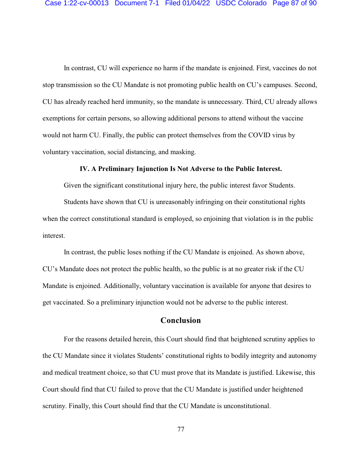In contrast, CU will experience no harm if the mandate is enjoined. First, vaccines do not stop transmission so the CU Mandate is not promoting public health on CU's campuses. Second, CU has already reached herd immunity, so the mandate is unnecessary. Third, CU already allows exemptions for certain persons, so allowing additional persons to attend without the vaccine would not harm CU. Finally, the public can protect themselves from the COVID virus by voluntary vaccination, social distancing, and masking.

#### **IV. A Preliminary Injunction Is Not Adverse to the Public Interest.**

Given the significant constitutional injury here, the public interest favor Students.

Students have shown that CU is unreasonably infringing on their constitutional rights when the correct constitutional standard is employed, so enjoining that violation is in the public interest.

In contrast, the public loses nothing if the CU Mandate is enjoined. As shown above, CU's Mandate does not protect the public health, so the public is at no greater risk if the CU Mandate is enjoined. Additionally, voluntary vaccination is available for anyone that desires to get vaccinated. So a preliminary injunction would not be adverse to the public interest.

### **Conclusion**

For the reasons detailed herein, this Court should find that heightened scrutiny applies to the CU Mandate since it violates Students' constitutional rights to bodily integrity and autonomy and medical treatment choice, so that CU must prove that its Mandate is justified. Likewise, this Court should find that CU failed to prove that the CU Mandate is justified under heightened scrutiny. Finally, this Court should find that the CU Mandate is unconstitutional.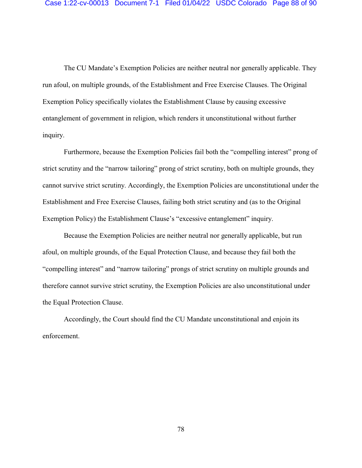The CU Mandate's Exemption Policies are neither neutral nor generally applicable. They run afoul, on multiple grounds, of the Establishment and Free Exercise Clauses. The Original Exemption Policy specifically violates the Establishment Clause by causing excessive entanglement of government in religion, which renders it unconstitutional without further inquiry.

Furthermore, because the Exemption Policies fail both the "compelling interest" prong of strict scrutiny and the "narrow tailoring" prong of strict scrutiny, both on multiple grounds, they cannot survive strict scrutiny. Accordingly, the Exemption Policies are unconstitutional under the Establishment and Free Exercise Clauses, failing both strict scrutiny and (as to the Original Exemption Policy) the Establishment Clause's "excessive entanglement" inquiry.

Because the Exemption Policies are neither neutral nor generally applicable, but run afoul, on multiple grounds, of the Equal Protection Clause, and because they fail both the "compelling interest" and "narrow tailoring" prongs of strict scrutiny on multiple grounds and therefore cannot survive strict scrutiny, the Exemption Policies are also unconstitutional under the Equal Protection Clause.

Accordingly, the Court should find the CU Mandate unconstitutional and enjoin its enforcement.

78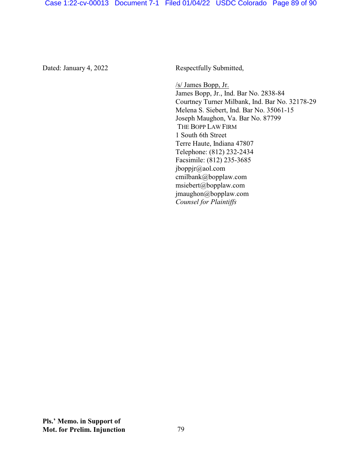Case 1:22-cv-00013 Document 7-1 Filed 01/04/22 USDC Colorado Page 89 of 90

Dated: January 4, 2022 Respectfully Submitted,

/s/ James Bopp, Jr. James Bopp, Jr., Ind. Bar No. 2838-84 Courtney Turner Milbank, Ind. Bar No. 32178-29 Melena S. Siebert, Ind. Bar No. 35061-15 Joseph Maughon, Va. Bar No. 87799 THE BOPP LAW FIRM 1 South 6th Street Terre Haute, Indiana 47807 Telephone: (812) 232-2434 Facsimile: (812) 235-3685 jboppjr@aol.com cmilbank@bopplaw.com msiebert@bopplaw.com jmaughon@bopplaw.com *Counsel for Plaintiffs*